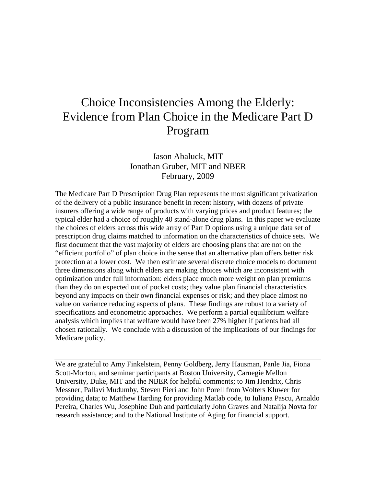# Choice Inconsistencies Among the Elderly: Evidence from Plan Choice in the Medicare Part D Program

Jason Abaluck, MIT Jonathan Gruber, MIT and NBER February, 2009

The Medicare Part D Prescription Drug Plan represents the most significant privatization of the delivery of a public insurance benefit in recent history, with dozens of private insurers offering a wide range of products with varying prices and product features; the typical elder had a choice of roughly 40 stand-alone drug plans. In this paper we evaluate the choices of elders across this wide array of Part D options using a unique data set of prescription drug claims matched to information on the characteristics of choice sets. We first document that the vast majority of elders are choosing plans that are not on the "efficient portfolio" of plan choice in the sense that an alternative plan offers better risk protection at a lower cost. We then estimate several discrete choice models to document three dimensions along which elders are making choices which are inconsistent with optimization under full information: elders place much more weight on plan premiums than they do on expected out of pocket costs; they value plan financial characteristics beyond any impacts on their own financial expenses or risk; and they place almost no value on variance reducing aspects of plans. These findings are robust to a variety of specifications and econometric approaches. We perform a partial equilibrium welfare analysis which implies that welfare would have been 27% higher if patients had all chosen rationally. We conclude with a discussion of the implications of our findings for Medicare policy.

We are grateful to Amy Finkelstein, Penny Goldberg, Jerry Hausman, Panle Jia, Fiona Scott-Morton, and seminar participants at Boston University, Carnegie Mellon University, Duke, MIT and the NBER for helpful comments; to Jim Hendrix, Chris Messner, Pallavi Mudumby, Steven Pieri and John Porell from Wolters Kluwer for providing data; to Matthew Harding for providing Matlab code, to Iuliana Pascu, Arnaldo Pereira, Charles Wu, Josephine Duh and particularly John Graves and Natalija Novta for research assistance; and to the National Institute of Aging for financial support.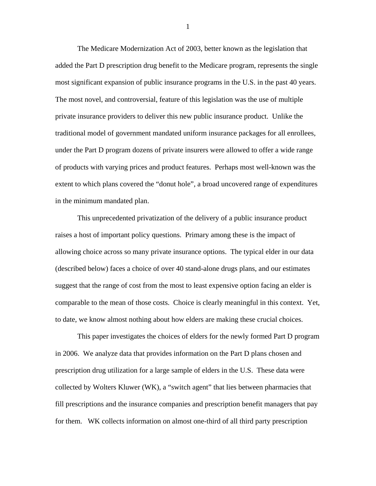The Medicare Modernization Act of 2003, better known as the legislation that added the Part D prescription drug benefit to the Medicare program, represents the single most significant expansion of public insurance programs in the U.S. in the past 40 years. The most novel, and controversial, feature of this legislation was the use of multiple private insurance providers to deliver this new public insurance product. Unlike the traditional model of government mandated uniform insurance packages for all enrollees, under the Part D program dozens of private insurers were allowed to offer a wide range of products with varying prices and product features. Perhaps most well-known was the extent to which plans covered the "donut hole", a broad uncovered range of expenditures in the minimum mandated plan.

 This unprecedented privatization of the delivery of a public insurance product raises a host of important policy questions. Primary among these is the impact of allowing choice across so many private insurance options. The typical elder in our data (described below) faces a choice of over 40 stand-alone drugs plans, and our estimates suggest that the range of cost from the most to least expensive option facing an elder is comparable to the mean of those costs. Choice is clearly meaningful in this context. Yet, to date, we know almost nothing about how elders are making these crucial choices.

 This paper investigates the choices of elders for the newly formed Part D program in 2006. We analyze data that provides information on the Part D plans chosen and prescription drug utilization for a large sample of elders in the U.S. These data were collected by Wolters Kluwer (WK), a "switch agent" that lies between pharmacies that fill prescriptions and the insurance companies and prescription benefit managers that pay for them. WK collects information on almost one-third of all third party prescription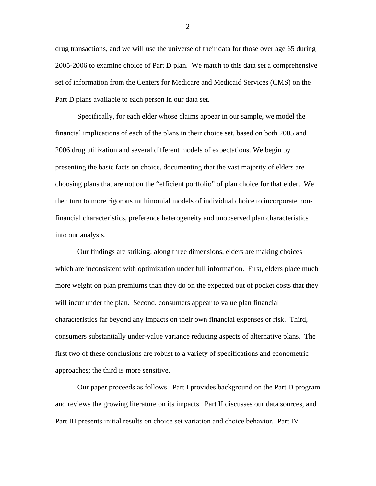drug transactions, and we will use the universe of their data for those over age 65 during 2005-2006 to examine choice of Part D plan. We match to this data set a comprehensive set of information from the Centers for Medicare and Medicaid Services (CMS) on the Part D plans available to each person in our data set.

 Specifically, for each elder whose claims appear in our sample, we model the financial implications of each of the plans in their choice set, based on both 2005 and 2006 drug utilization and several different models of expectations. We begin by presenting the basic facts on choice, documenting that the vast majority of elders are choosing plans that are not on the "efficient portfolio" of plan choice for that elder. We then turn to more rigorous multinomial models of individual choice to incorporate nonfinancial characteristics, preference heterogeneity and unobserved plan characteristics into our analysis.

 Our findings are striking: along three dimensions, elders are making choices which are inconsistent with optimization under full information. First, elders place much more weight on plan premiums than they do on the expected out of pocket costs that they will incur under the plan. Second, consumers appear to value plan financial characteristics far beyond any impacts on their own financial expenses or risk. Third, consumers substantially under-value variance reducing aspects of alternative plans. The first two of these conclusions are robust to a variety of specifications and econometric approaches; the third is more sensitive.

 Our paper proceeds as follows. Part I provides background on the Part D program and reviews the growing literature on its impacts. Part II discusses our data sources, and Part III presents initial results on choice set variation and choice behavior. Part IV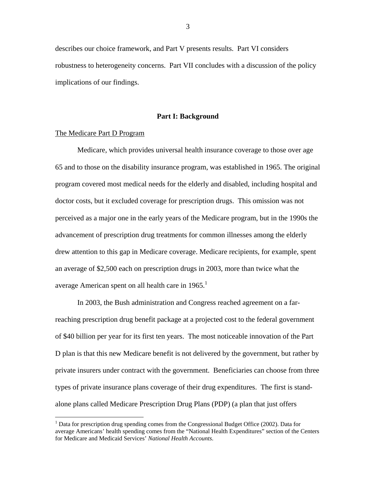describes our choice framework, and Part V presents results. Part VI considers robustness to heterogeneity concerns. Part VII concludes with a discussion of the policy implications of our findings.

#### **Part I: Background**

### The Medicare Part D Program

 $\overline{a}$ 

 Medicare, which provides universal health insurance coverage to those over age 65 and to those on the disability insurance program, was established in 1965. The original program covered most medical needs for the elderly and disabled, including hospital and doctor costs, but it excluded coverage for prescription drugs. This omission was not perceived as a major one in the early years of the Medicare program, but in the 1990s the advancement of prescription drug treatments for common illnesses among the elderly drew attention to this gap in Medicare coverage. Medicare recipients, for example, spent an average of \$2,500 each on prescription drugs in 2003, more than twice what the average American spent on all health care in  $1965$ .<sup>1</sup>

 In 2003, the Bush administration and Congress reached agreement on a farreaching prescription drug benefit package at a projected cost to the federal government of \$40 billion per year for its first ten years. The most noticeable innovation of the Part D plan is that this new Medicare benefit is not delivered by the government, but rather by private insurers under contract with the government. Beneficiaries can choose from three types of private insurance plans coverage of their drug expenditures. The first is standalone plans called Medicare Prescription Drug Plans (PDP) (a plan that just offers

<sup>&</sup>lt;sup>1</sup> Data for prescription drug spending comes from the Congressional Budget Office (2002). Data for average Americans' health spending comes from the "National Health Expenditures" section of the Centers for Medicare and Medicaid Services' *National Health Accounts*.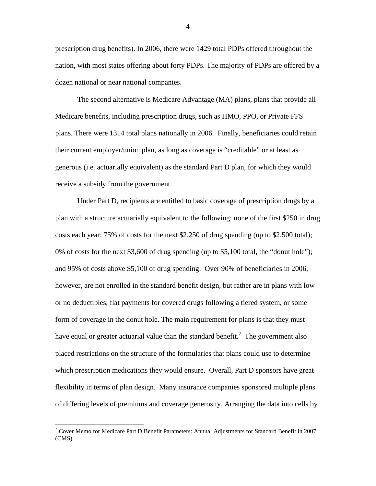prescription drug benefits). In 2006, there were 1429 total PDPs offered throughout the nation, with most states offering about forty PDPs. The majority of PDPs are offered by a dozen national or near national companies.

 The second alternative is Medicare Advantage (MA) plans, plans that provide all Medicare benefits, including prescription drugs, such as HMO, PPO, or Private FFS plans. There were 1314 total plans nationally in 2006. Finally, beneficiaries could retain their current employer/union plan, as long as coverage is "creditable" or at least as generous (i.e. actuarially equivalent) as the standard Part D plan, for which they would receive a subsidy from the government

 Under Part D, recipients are entitled to basic coverage of prescription drugs by a plan with a structure actuarially equivalent to the following: none of the first \$250 in drug costs each year; 75% of costs for the next \$2,250 of drug spending (up to \$2,500 total); 0% of costs for the next \$3,600 of drug spending (up to \$5,100 total, the "donut hole"); and 95% of costs above \$5,100 of drug spending. Over 90% of beneficiaries in 2006, however, are not enrolled in the standard benefit design, but rather are in plans with low or no deductibles, flat payments for covered drugs following a tiered system, or some form of coverage in the donut hole. The main requirement for plans is that they must have equal or greater actuarial value than the standard benefit.<sup>2</sup> The government also placed restrictions on the structure of the formularies that plans could use to determine which prescription medications they would ensure.Overall, Part D sponsors have great flexibility in terms of plan design. Many insurance companies sponsored multiple plans of differing levels of premiums and coverage generosity. Arranging the data into cells by

 2 Cover Memo for Medicare Part D Benefit Parameters: Annual Adjustments for Standard Benefit in 2007 (CMS)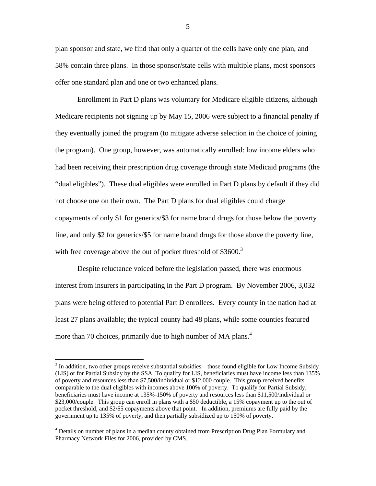plan sponsor and state, we find that only a quarter of the cells have only one plan, and 58% contain three plans. In those sponsor/state cells with multiple plans, most sponsors offer one standard plan and one or two enhanced plans.

 Enrollment in Part D plans was voluntary for Medicare eligible citizens, although Medicare recipients not signing up by May 15, 2006 were subject to a financial penalty if they eventually joined the program (to mitigate adverse selection in the choice of joining the program). One group, however, was automatically enrolled: low income elders who had been receiving their prescription drug coverage through state Medicaid programs (the "dual eligibles"). These dual eligibles were enrolled in Part D plans by default if they did not choose one on their own. The Part D plans for dual eligibles could charge copayments of only \$1 for generics/\$3 for name brand drugs for those below the poverty line, and only \$2 for generics/\$5 for name brand drugs for those above the poverty line, with free coverage above the out of pocket threshold of  $$3600.<sup>3</sup>$ 

 Despite reluctance voiced before the legislation passed, there was enormous interest from insurers in participating in the Part D program. By November 2006, 3,032 plans were being offered to potential Part D enrollees. Every county in the nation had at least 27 plans available; the typical county had 48 plans, while some counties featured more than 70 choices, primarily due to high number of MA plans.<sup>4</sup>

 $\overline{a}$ 

 $3$  In addition, two other groups receive substantial subsidies – those found eligible for Low Income Subsidy (LIS) or for Partial Subsidy by the SSA. To qualify for LIS, beneficiaries must have income less than 135% of poverty and resources less than \$7,500/individual or \$12,000 couple. This group received benefits comparable to the dual eligibles with incomes above 100% of poverty. To qualify for Partial Subsidy, beneficiaries must have income at 135%-150% of poverty and resources less than \$11,500/individual or \$23,000/couple. This group can enroll in plans with a \$50 deductible, a 15% copayment up to the out of pocket threshold, and \$2/\$5 copayments above that point. In addition, premiums are fully paid by the government up to 135% of poverty, and then partially subsidized up to 150% of poverty.

<sup>&</sup>lt;sup>4</sup> Details on number of plans in a median county obtained from Prescription Drug Plan Formulary and Pharmacy Network Files for 2006, provided by CMS.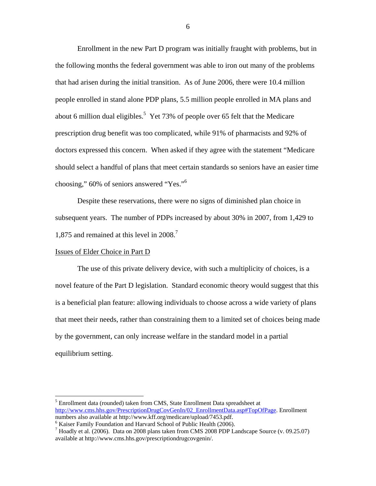Enrollment in the new Part D program was initially fraught with problems, but in the following months the federal government was able to iron out many of the problems that had arisen during the initial transition. As of June 2006, there were 10.4 million people enrolled in stand alone PDP plans, 5.5 million people enrolled in MA plans and about 6 million dual eligibles.<sup>5</sup> Yet 73% of people over 65 felt that the Medicare prescription drug benefit was too complicated, while 91% of pharmacists and 92% of doctors expressed this concern. When asked if they agree with the statement "Medicare should select a handful of plans that meet certain standards so seniors have an easier time choosing," 60% of seniors answered "Yes."6

 Despite these reservations, there were no signs of diminished plan choice in subsequent years. The number of PDPs increased by about 30% in 2007, from 1,429 to 1,875 and remained at this level in 2008.<sup>7</sup>

## Issues of Elder Choice in Part D

 $\overline{a}$ 

 The use of this private delivery device, with such a multiplicity of choices, is a novel feature of the Part D legislation. Standard economic theory would suggest that this is a beneficial plan feature: allowing individuals to choose across a wide variety of plans that meet their needs, rather than constraining them to a limited set of choices being made by the government, can only increase welfare in the standard model in a partial equilibrium setting.

<sup>&</sup>lt;sup>5</sup> Enrollment data (rounded) taken from CMS, State Enrollment Data spreadsheet at http://www.cms.hhs.gov/PrescriptionDrugCovGenIn/02\_EnrollmentData.asp#TopOfPage. Enrollment numbers also available at http://www.kff.org/medicare/upload/7453.pdf.

 $6$  Kaiser Family Foundation and Harvard School of Public Health (2006).

<sup>&</sup>lt;sup>7</sup> Hoadly et al. (2006). Data on 2008 plans taken from CMS 2008 PDP Landscape Source (v. 09.25.07) available at http://www.cms.hhs.gov/prescriptiondrugcovgenin/.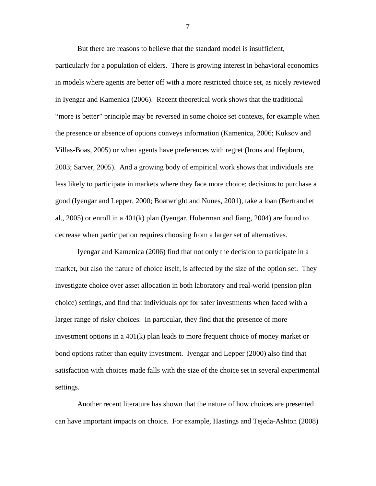But there are reasons to believe that the standard model is insufficient,

particularly for a population of elders. There is growing interest in behavioral economics in models where agents are better off with a more restricted choice set, as nicely reviewed in Iyengar and Kamenica (2006). Recent theoretical work shows that the traditional "more is better" principle may be reversed in some choice set contexts, for example when the presence or absence of options conveys information (Kamenica, 2006; Kuksov and Villas-Boas, 2005) or when agents have preferences with regret (Irons and Hepburn, 2003; Sarver, 2005). And a growing body of empirical work shows that individuals are less likely to participate in markets where they face more choice; decisions to purchase a good (Iyengar and Lepper, 2000; Boatwright and Nunes, 2001), take a loan (Bertrand et al., 2005) or enroll in a 401(k) plan (Iyengar, Huberman and Jiang, 2004) are found to decrease when participation requires choosing from a larger set of alternatives.

 Iyengar and Kamenica (2006) find that not only the decision to participate in a market, but also the nature of choice itself, is affected by the size of the option set. They investigate choice over asset allocation in both laboratory and real-world (pension plan choice) settings, and find that individuals opt for safer investments when faced with a larger range of risky choices. In particular, they find that the presence of more investment options in a 401(k) plan leads to more frequent choice of money market or bond options rather than equity investment. Iyengar and Lepper (2000) also find that satisfaction with choices made falls with the size of the choice set in several experimental settings.

 Another recent literature has shown that the nature of how choices are presented can have important impacts on choice. For example, Hastings and Tejeda-Ashton (2008)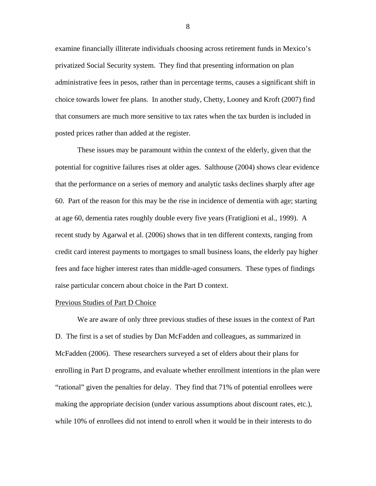examine financially illiterate individuals choosing across retirement funds in Mexico's privatized Social Security system. They find that presenting information on plan administrative fees in pesos, rather than in percentage terms, causes a significant shift in choice towards lower fee plans. In another study, Chetty, Looney and Kroft (2007) find that consumers are much more sensitive to tax rates when the tax burden is included in posted prices rather than added at the register.

 These issues may be paramount within the context of the elderly, given that the potential for cognitive failures rises at older ages. Salthouse (2004) shows clear evidence that the performance on a series of memory and analytic tasks declines sharply after age 60. Part of the reason for this may be the rise in incidence of dementia with age; starting at age 60, dementia rates roughly double every five years (Fratiglioni et al., 1999). A recent study by Agarwal et al. (2006) shows that in ten different contexts, ranging from credit card interest payments to mortgages to small business loans, the elderly pay higher fees and face higher interest rates than middle-aged consumers. These types of findings raise particular concern about choice in the Part D context.

## Previous Studies of Part D Choice

 We are aware of only three previous studies of these issues in the context of Part D. The first is a set of studies by Dan McFadden and colleagues, as summarized in McFadden (2006). These researchers surveyed a set of elders about their plans for enrolling in Part D programs, and evaluate whether enrollment intentions in the plan were "rational" given the penalties for delay. They find that 71% of potential enrollees were making the appropriate decision (under various assumptions about discount rates, etc.), while 10% of enrollees did not intend to enroll when it would be in their interests to do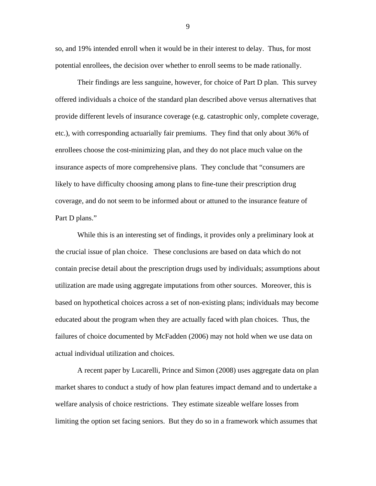so, and 19% intended enroll when it would be in their interest to delay. Thus, for most potential enrollees, the decision over whether to enroll seems to be made rationally.

 Their findings are less sanguine, however, for choice of Part D plan. This survey offered individuals a choice of the standard plan described above versus alternatives that provide different levels of insurance coverage (e.g. catastrophic only, complete coverage, etc.), with corresponding actuarially fair premiums. They find that only about 36% of enrollees choose the cost-minimizing plan, and they do not place much value on the insurance aspects of more comprehensive plans. They conclude that "consumers are likely to have difficulty choosing among plans to fine-tune their prescription drug coverage, and do not seem to be informed about or attuned to the insurance feature of Part D plans."

 While this is an interesting set of findings, it provides only a preliminary look at the crucial issue of plan choice. These conclusions are based on data which do not contain precise detail about the prescription drugs used by individuals; assumptions about utilization are made using aggregate imputations from other sources. Moreover, this is based on hypothetical choices across a set of non-existing plans; individuals may become educated about the program when they are actually faced with plan choices. Thus, the failures of choice documented by McFadden (2006) may not hold when we use data on actual individual utilization and choices.

 A recent paper by Lucarelli, Prince and Simon (2008) uses aggregate data on plan market shares to conduct a study of how plan features impact demand and to undertake a welfare analysis of choice restrictions. They estimate sizeable welfare losses from limiting the option set facing seniors. But they do so in a framework which assumes that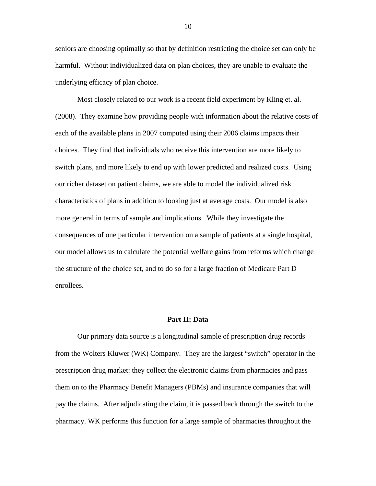seniors are choosing optimally so that by definition restricting the choice set can only be harmful. Without individualized data on plan choices, they are unable to evaluate the underlying efficacy of plan choice.

 Most closely related to our work is a recent field experiment by Kling et. al. (2008). They examine how providing people with information about the relative costs of each of the available plans in 2007 computed using their 2006 claims impacts their choices. They find that individuals who receive this intervention are more likely to switch plans, and more likely to end up with lower predicted and realized costs. Using our richer dataset on patient claims, we are able to model the individualized risk characteristics of plans in addition to looking just at average costs. Our model is also more general in terms of sample and implications. While they investigate the consequences of one particular intervention on a sample of patients at a single hospital, our model allows us to calculate the potential welfare gains from reforms which change the structure of the choice set, and to do so for a large fraction of Medicare Part D enrollees.

#### **Part II: Data**

 Our primary data source is a longitudinal sample of prescription drug records from the Wolters Kluwer (WK) Company. They are the largest "switch" operator in the prescription drug market: they collect the electronic claims from pharmacies and pass them on to the Pharmacy Benefit Managers (PBMs) and insurance companies that will pay the claims. After adjudicating the claim, it is passed back through the switch to the pharmacy. WK performs this function for a large sample of pharmacies throughout the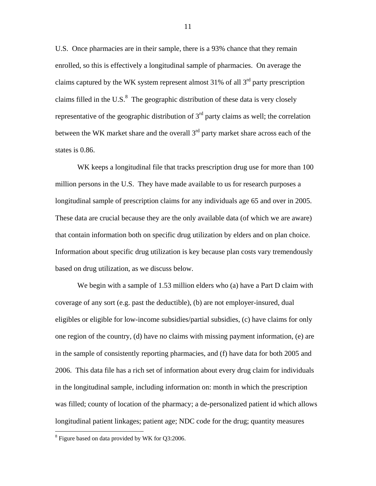U.S. Once pharmacies are in their sample, there is a 93% chance that they remain enrolled, so this is effectively a longitudinal sample of pharmacies. On average the claims captured by the WK system represent almost  $31\%$  of all  $3<sup>rd</sup>$  party prescription claims filled in the U.S. $<sup>8</sup>$  The geographic distribution of these data is very closely</sup> representative of the geographic distribution of  $3<sup>rd</sup>$  party claims as well; the correlation between the WK market share and the overall 3<sup>rd</sup> party market share across each of the states is 0.86.

WK keeps a longitudinal file that tracks prescription drug use for more than 100 million persons in the U.S. They have made available to us for research purposes a longitudinal sample of prescription claims for any individuals age 65 and over in 2005. These data are crucial because they are the only available data (of which we are aware) that contain information both on specific drug utilization by elders and on plan choice. Information about specific drug utilization is key because plan costs vary tremendously based on drug utilization, as we discuss below.

 We begin with a sample of 1.53 million elders who (a) have a Part D claim with coverage of any sort (e.g. past the deductible), (b) are not employer-insured, dual eligibles or eligible for low-income subsidies/partial subsidies, (c) have claims for only one region of the country, (d) have no claims with missing payment information, (e) are in the sample of consistently reporting pharmacies, and (f) have data for both 2005 and 2006. This data file has a rich set of information about every drug claim for individuals in the longitudinal sample, including information on: month in which the prescription was filled; county of location of the pharmacy; a de-personalized patient id which allows longitudinal patient linkages; patient age; NDC code for the drug; quantity measures

 $\overline{a}$ 

<sup>&</sup>lt;sup>8</sup> Figure based on data provided by WK for Q3:2006.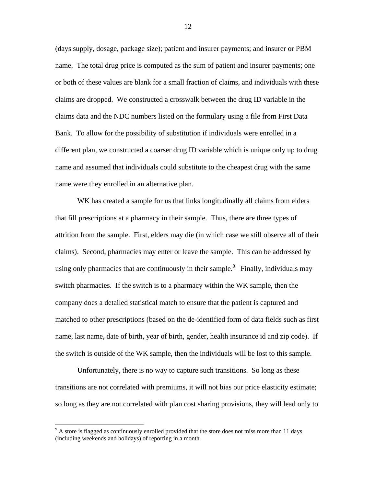(days supply, dosage, package size); patient and insurer payments; and insurer or PBM name. The total drug price is computed as the sum of patient and insurer payments; one or both of these values are blank for a small fraction of claims, and individuals with these claims are dropped. We constructed a crosswalk between the drug ID variable in the claims data and the NDC numbers listed on the formulary using a file from First Data Bank. To allow for the possibility of substitution if individuals were enrolled in a different plan, we constructed a coarser drug ID variable which is unique only up to drug name and assumed that individuals could substitute to the cheapest drug with the same name were they enrolled in an alternative plan.

WK has created a sample for us that links longitudinally all claims from elders that fill prescriptions at a pharmacy in their sample. Thus, there are three types of attrition from the sample. First, elders may die (in which case we still observe all of their claims). Second, pharmacies may enter or leave the sample. This can be addressed by using only pharmacies that are continuously in their sample.<sup>9</sup> Finally, individuals may switch pharmacies. If the switch is to a pharmacy within the WK sample, then the company does a detailed statistical match to ensure that the patient is captured and matched to other prescriptions (based on the de-identified form of data fields such as first name, last name, date of birth, year of birth, gender, health insurance id and zip code). If the switch is outside of the WK sample, then the individuals will be lost to this sample.

 Unfortunately, there is no way to capture such transitions. So long as these transitions are not correlated with premiums, it will not bias our price elasticity estimate; so long as they are not correlated with plan cost sharing provisions, they will lead only to

 $\overline{a}$ 

<sup>&</sup>lt;sup>9</sup> A store is flagged as continuously enrolled provided that the store does not miss more than 11 days (including weekends and holidays) of reporting in a month.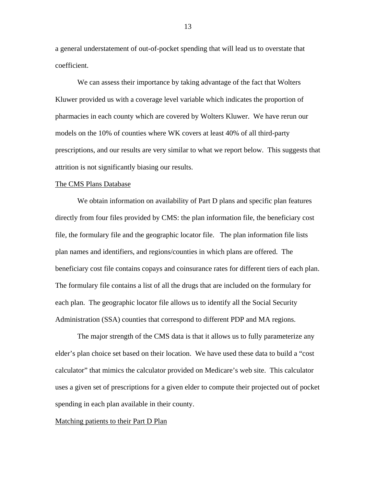a general understatement of out-of-pocket spending that will lead us to overstate that coefficient.

We can assess their importance by taking advantage of the fact that Wolters Kluwer provided us with a coverage level variable which indicates the proportion of pharmacies in each county which are covered by Wolters Kluwer. We have rerun our models on the 10% of counties where WK covers at least 40% of all third-party prescriptions, and our results are very similar to what we report below. This suggests that attrition is not significantly biasing our results.

#### The CMS Plans Database

We obtain information on availability of Part D plans and specific plan features directly from four files provided by CMS: the plan information file, the beneficiary cost file, the formulary file and the geographic locator file. The plan information file lists plan names and identifiers, and regions/counties in which plans are offered. The beneficiary cost file contains copays and coinsurance rates for different tiers of each plan. The formulary file contains a list of all the drugs that are included on the formulary for each plan. The geographic locator file allows us to identify all the Social Security Administration (SSA) counties that correspond to different PDP and MA regions.

 The major strength of the CMS data is that it allows us to fully parameterize any elder's plan choice set based on their location. We have used these data to build a "cost calculator" that mimics the calculator provided on Medicare's web site. This calculator uses a given set of prescriptions for a given elder to compute their projected out of pocket spending in each plan available in their county.

#### Matching patients to their Part D Plan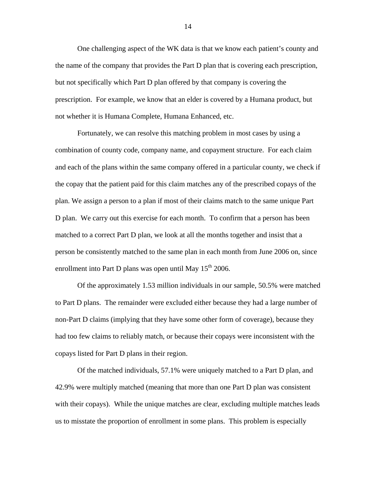One challenging aspect of the WK data is that we know each patient's county and the name of the company that provides the Part D plan that is covering each prescription, but not specifically which Part D plan offered by that company is covering the prescription. For example, we know that an elder is covered by a Humana product, but not whether it is Humana Complete, Humana Enhanced, etc.

 Fortunately, we can resolve this matching problem in most cases by using a combination of county code, company name, and copayment structure. For each claim and each of the plans within the same company offered in a particular county, we check if the copay that the patient paid for this claim matches any of the prescribed copays of the plan. We assign a person to a plan if most of their claims match to the same unique Part D plan. We carry out this exercise for each month. To confirm that a person has been matched to a correct Part D plan, we look at all the months together and insist that a person be consistently matched to the same plan in each month from June 2006 on, since enrollment into Part D plans was open until May  $15<sup>th</sup> 2006$ .

 Of the approximately 1.53 million individuals in our sample, 50.5% were matched to Part D plans. The remainder were excluded either because they had a large number of non-Part D claims (implying that they have some other form of coverage), because they had too few claims to reliably match, or because their copays were inconsistent with the copays listed for Part D plans in their region.

 Of the matched individuals, 57.1% were uniquely matched to a Part D plan, and 42.9% were multiply matched (meaning that more than one Part D plan was consistent with their copays). While the unique matches are clear, excluding multiple matches leads us to misstate the proportion of enrollment in some plans. This problem is especially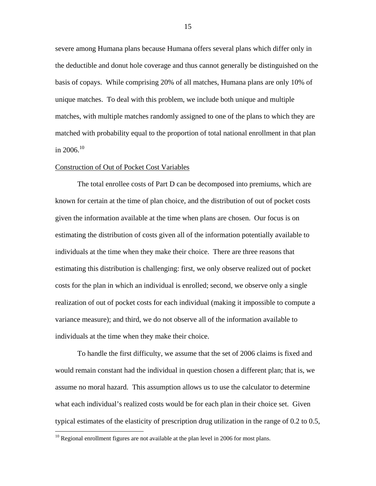severe among Humana plans because Humana offers several plans which differ only in the deductible and donut hole coverage and thus cannot generally be distinguished on the basis of copays. While comprising 20% of all matches, Humana plans are only 10% of unique matches.To deal with this problem, we include both unique and multiple matches, with multiple matches randomly assigned to one of the plans to which they are matched with probability equal to the proportion of total national enrollment in that plan in 2006.<sup>10</sup>

## Construction of Out of Pocket Cost Variables

 The total enrollee costs of Part D can be decomposed into premiums, which are known for certain at the time of plan choice, and the distribution of out of pocket costs given the information available at the time when plans are chosen. Our focus is on estimating the distribution of costs given all of the information potentially available to individuals at the time when they make their choice. There are three reasons that estimating this distribution is challenging: first, we only observe realized out of pocket costs for the plan in which an individual is enrolled; second, we observe only a single realization of out of pocket costs for each individual (making it impossible to compute a variance measure); and third, we do not observe all of the information available to individuals at the time when they make their choice.

 To handle the first difficulty, we assume that the set of 2006 claims is fixed and would remain constant had the individual in question chosen a different plan; that is, we assume no moral hazard. This assumption allows us to use the calculator to determine what each individual's realized costs would be for each plan in their choice set. Given typical estimates of the elasticity of prescription drug utilization in the range of 0.2 to 0.5,

 $\overline{a}$ 

 $10$  Regional enrollment figures are not available at the plan level in 2006 for most plans.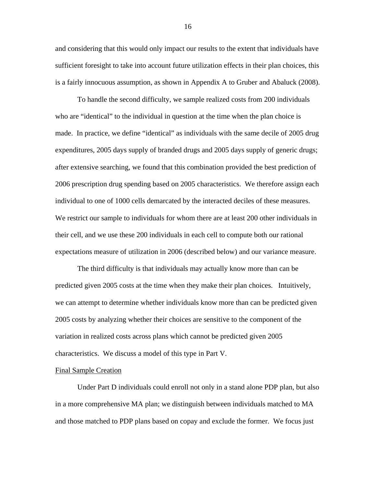and considering that this would only impact our results to the extent that individuals have sufficient foresight to take into account future utilization effects in their plan choices, this is a fairly innocuous assumption, as shown in Appendix A to Gruber and Abaluck (2008).

 To handle the second difficulty, we sample realized costs from 200 individuals who are "identical" to the individual in question at the time when the plan choice is made. In practice, we define "identical" as individuals with the same decile of 2005 drug expenditures, 2005 days supply of branded drugs and 2005 days supply of generic drugs; after extensive searching, we found that this combination provided the best prediction of 2006 prescription drug spending based on 2005 characteristics. We therefore assign each individual to one of 1000 cells demarcated by the interacted deciles of these measures. We restrict our sample to individuals for whom there are at least 200 other individuals in their cell, and we use these 200 individuals in each cell to compute both our rational expectations measure of utilization in 2006 (described below) and our variance measure.

 The third difficulty is that individuals may actually know more than can be predicted given 2005 costs at the time when they make their plan choices. Intuitively, we can attempt to determine whether individuals know more than can be predicted given 2005 costs by analyzing whether their choices are sensitive to the component of the variation in realized costs across plans which cannot be predicted given 2005 characteristics. We discuss a model of this type in Part V.

## Final Sample Creation

Under Part D individuals could enroll not only in a stand alone PDP plan, but also in a more comprehensive MA plan; we distinguish between individuals matched to MA and those matched to PDP plans based on copay and exclude the former. We focus just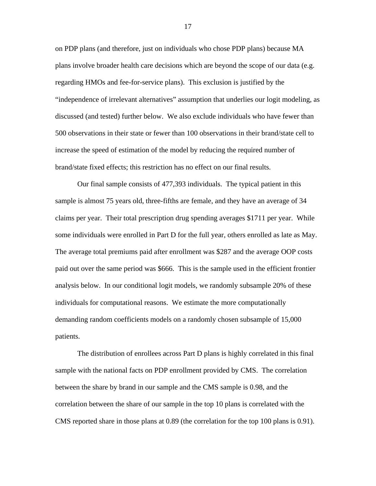on PDP plans (and therefore, just on individuals who chose PDP plans) because MA plans involve broader health care decisions which are beyond the scope of our data (e.g. regarding HMOs and fee-for-service plans). This exclusion is justified by the "independence of irrelevant alternatives" assumption that underlies our logit modeling, as discussed (and tested) further below. We also exclude individuals who have fewer than 500 observations in their state or fewer than 100 observations in their brand/state cell to increase the speed of estimation of the model by reducing the required number of brand/state fixed effects; this restriction has no effect on our final results.

 Our final sample consists of 477,393 individuals. The typical patient in this sample is almost 75 years old, three-fifths are female, and they have an average of 34 claims per year. Their total prescription drug spending averages \$1711 per year. While some individuals were enrolled in Part D for the full year, others enrolled as late as May. The average total premiums paid after enrollment was \$287 and the average OOP costs paid out over the same period was \$666. This is the sample used in the efficient frontier analysis below. In our conditional logit models, we randomly subsample 20% of these individuals for computational reasons. We estimate the more computationally demanding random coefficients models on a randomly chosen subsample of 15,000 patients.

The distribution of enrollees across Part D plans is highly correlated in this final sample with the national facts on PDP enrollment provided by CMS. The correlation between the share by brand in our sample and the CMS sample is 0.98, and the correlation between the share of our sample in the top 10 plans is correlated with the CMS reported share in those plans at 0.89 (the correlation for the top 100 plans is 0.91).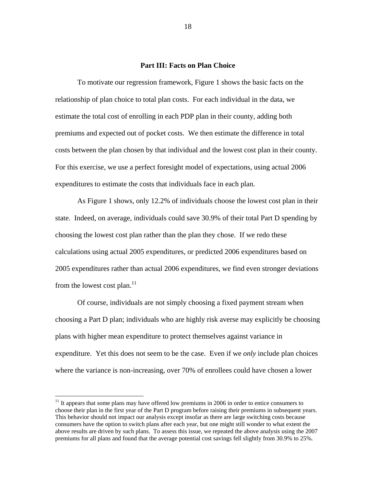## **Part III: Facts on Plan Choice**

 To motivate our regression framework, Figure 1 shows the basic facts on the relationship of plan choice to total plan costs. For each individual in the data, we estimate the total cost of enrolling in each PDP plan in their county, adding both premiums and expected out of pocket costs. We then estimate the difference in total costs between the plan chosen by that individual and the lowest cost plan in their county. For this exercise, we use a perfect foresight model of expectations, using actual 2006 expenditures to estimate the costs that individuals face in each plan.

 As Figure 1 shows, only 12.2% of individuals choose the lowest cost plan in their state. Indeed, on average, individuals could save 30.9% of their total Part D spending by choosing the lowest cost plan rather than the plan they chose. If we redo these calculations using actual 2005 expenditures, or predicted 2006 expenditures based on 2005 expenditures rather than actual 2006 expenditures, we find even stronger deviations from the lowest cost plan. $11$ 

 Of course, individuals are not simply choosing a fixed payment stream when choosing a Part D plan; individuals who are highly risk averse may explicitly be choosing plans with higher mean expenditure to protect themselves against variance in expenditure. Yet this does not seem to be the case. Even if we *only* include plan choices where the variance is non-increasing, over 70% of enrollees could have chosen a lower

 $11$  It appears that some plans may have offered low premiums in 2006 in order to entice consumers to choose their plan in the first year of the Part D program before raising their premiums in subsequent years. This behavior should not impact our analysis except insofar as there are large switching costs because consumers have the option to switch plans after each year, but one might still wonder to what extent the above results are driven by such plans. To assess this issue, we repeated the above analysis using the 2007 premiums for all plans and found that the average potential cost savings fell slightly from 30.9% to 25%.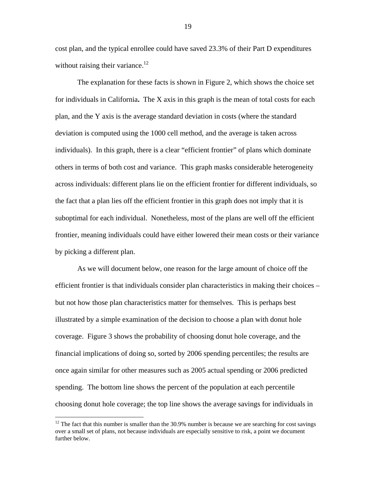cost plan, and the typical enrollee could have saved 23.3% of their Part D expenditures without raising their variance.<sup>12</sup>

 The explanation for these facts is shown in Figure 2, which shows the choice set for individuals in California**.** The X axis in this graph is the mean of total costs for each plan, and the Y axis is the average standard deviation in costs (where the standard deviation is computed using the 1000 cell method, and the average is taken across individuals). In this graph, there is a clear "efficient frontier" of plans which dominate others in terms of both cost and variance. This graph masks considerable heterogeneity across individuals: different plans lie on the efficient frontier for different individuals, so the fact that a plan lies off the efficient frontier in this graph does not imply that it is suboptimal for each individual. Nonetheless, most of the plans are well off the efficient frontier, meaning individuals could have either lowered their mean costs or their variance by picking a different plan.

 As we will document below, one reason for the large amount of choice off the efficient frontier is that individuals consider plan characteristics in making their choices – but not how those plan characteristics matter for themselves. This is perhaps best illustrated by a simple examination of the decision to choose a plan with donut hole coverage. Figure 3 shows the probability of choosing donut hole coverage, and the financial implications of doing so, sorted by 2006 spending percentiles; the results are once again similar for other measures such as 2005 actual spending or 2006 predicted spending. The bottom line shows the percent of the population at each percentile choosing donut hole coverage; the top line shows the average savings for individuals in

 $\overline{a}$ 

 $12$  The fact that this number is smaller than the 30.9% number is because we are searching for cost savings over a small set of plans, not because individuals are especially sensitive to risk, a point we document further below.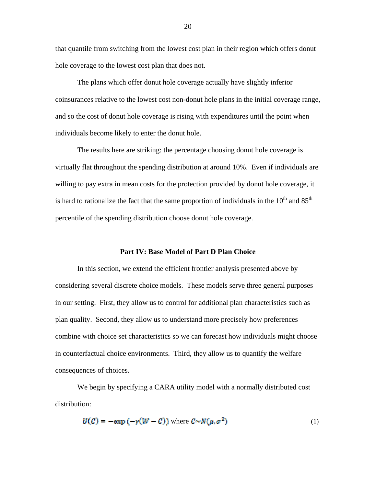that quantile from switching from the lowest cost plan in their region which offers donut hole coverage to the lowest cost plan that does not.

 The plans which offer donut hole coverage actually have slightly inferior coinsurances relative to the lowest cost non-donut hole plans in the initial coverage range, and so the cost of donut hole coverage is rising with expenditures until the point when individuals become likely to enter the donut hole.

 The results here are striking: the percentage choosing donut hole coverage is virtually flat throughout the spending distribution at around 10%. Even if individuals are willing to pay extra in mean costs for the protection provided by donut hole coverage, it is hard to rationalize the fact that the same proportion of individuals in the  $10<sup>th</sup>$  and  $85<sup>th</sup>$ percentile of the spending distribution choose donut hole coverage.

## **Part IV: Base Model of Part D Plan Choice**

 In this section, we extend the efficient frontier analysis presented above by considering several discrete choice models. These models serve three general purposes in our setting. First, they allow us to control for additional plan characteristics such as plan quality. Second, they allow us to understand more precisely how preferences combine with choice set characteristics so we can forecast how individuals might choose in counterfactual choice environments. Third, they allow us to quantify the welfare consequences of choices.

 We begin by specifying a CARA utility model with a normally distributed cost distribution:

$$
U(C) = -\exp\left(-\gamma(W - C)\right) \text{ where } C \sim N(\mu, \sigma^2) \tag{1}
$$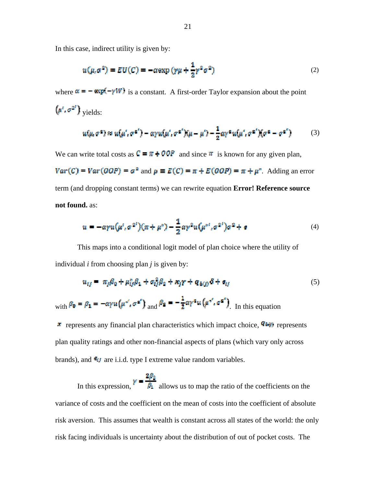In this case, indirect utility is given by:

$$
u(\mu, \sigma^2) = EU(C) = -\alpha \exp\left(\gamma \mu + \frac{1}{2} \gamma^2 \sigma^2\right)
$$
 (2)

where  $\alpha = -\exp(-\gamma W)$  is a constant. A first-order Taylor expansion about the point

$$
(\mu^t, \sigma^{2t})_{\text{ yields:}}
$$

$$
u(\mu, \sigma^2) \approx u(\mu', \sigma^{2'}) - \alpha \gamma u(\mu', \sigma^{2'}) (\mu - \mu') - \frac{1}{2} \alpha \gamma^2 u(\mu', \sigma^{2'}) (\sigma^2 - \sigma^{2'}) \tag{3}
$$

We can write total costs as  $C = \pi + OOP$  and since  $\pi$  is known for any given plan,

 $Var(C) = Var(OOP) = \sigma^2$  and  $\mu \equiv E(C) = \pi + E(OOP) = \pi + \mu^*$ . Adding an error term (and dropping constant terms) we can rewrite equation **Error! Reference source not found.** as:

$$
u = -\alpha \gamma u(\mu^i, \sigma^{2^i})(\pi + \mu^*) - \frac{1}{2}\alpha \gamma^2 u(\mu^{*i}, \sigma^{2^i})\sigma^2 + \epsilon
$$
 (4)

This maps into a conditional logit model of plan choice where the utility of individual *i* from choosing plan *j* is given by:

$$
u_{ij} = \pi_j \beta_0 + \mu_{ij}^* \beta_1 + \sigma_{ij}^2 \beta_2 + \kappa_j \gamma + q_{b(j)} \delta + \sigma_{ij}
$$
 (5)

with  $\beta_0 = \beta_1 = -\alpha \gamma u \left(\mu^{*}, \sigma^{*} \right)$  and  $\beta_2 = -\frac{1}{2} \alpha \gamma^{*} u \left(\mu^{*}, \sigma^{*} \right)$  In this equation

**x** represents any financial plan characteristics which impact choice,  $\mathbf{q}_{\text{top}}$  represents plan quality ratings and other non-financial aspects of plans (which vary only across brands), and  $\epsilon_{ij}$  are i.i.d. type I extreme value random variables.

In this expression,  $\gamma = \frac{2\beta_2}{\beta_1}$  allows us to map the ratio of the coefficients on the variance of costs and the coefficient on the mean of costs into the coefficient of absolute risk aversion. This assumes that wealth is constant across all states of the world: the only risk facing individuals is uncertainty about the distribution of out of pocket costs. The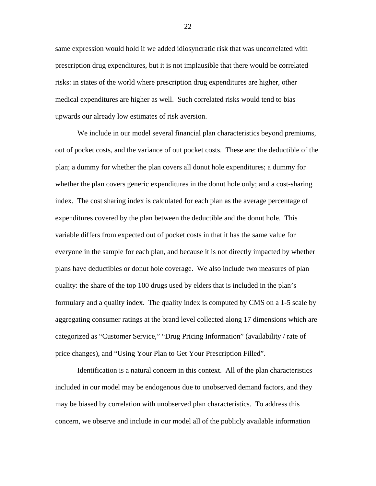same expression would hold if we added idiosyncratic risk that was uncorrelated with prescription drug expenditures, but it is not implausible that there would be correlated risks: in states of the world where prescription drug expenditures are higher, other medical expenditures are higher as well. Such correlated risks would tend to bias upwards our already low estimates of risk aversion.

 We include in our model several financial plan characteristics beyond premiums, out of pocket costs, and the variance of out pocket costs. These are: the deductible of the plan; a dummy for whether the plan covers all donut hole expenditures; a dummy for whether the plan covers generic expenditures in the donut hole only; and a cost-sharing index. The cost sharing index is calculated for each plan as the average percentage of expenditures covered by the plan between the deductible and the donut hole. This variable differs from expected out of pocket costs in that it has the same value for everyone in the sample for each plan, and because it is not directly impacted by whether plans have deductibles or donut hole coverage. We also include two measures of plan quality: the share of the top 100 drugs used by elders that is included in the plan's formulary and a quality index. The quality index is computed by CMS on a 1-5 scale by aggregating consumer ratings at the brand level collected along 17 dimensions which are categorized as "Customer Service," "Drug Pricing Information" (availability / rate of price changes), and "Using Your Plan to Get Your Prescription Filled".

 Identification is a natural concern in this context. All of the plan characteristics included in our model may be endogenous due to unobserved demand factors, and they may be biased by correlation with unobserved plan characteristics. To address this concern, we observe and include in our model all of the publicly available information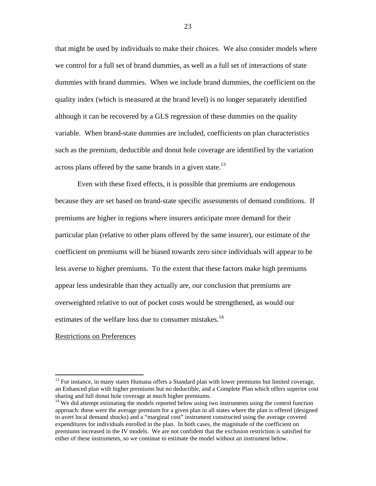that might be used by individuals to make their choices. We also consider models where we control for a full set of brand dummies, as well as a full set of interactions of state dummies with brand dummies. When we include brand dummies, the coefficient on the quality index (which is measured at the brand level) is no longer separately identified although it can be recovered by a GLS regression of these dummies on the quality variable. When brand-state dummies are included, coefficients on plan characteristics such as the premium, deductible and donut hole coverage are identified by the variation across plans offered by the same brands in a given state.<sup>13</sup>

 Even with these fixed effects, it is possible that premiums are endogenous because they are set based on brand-state specific assessments of demand conditions. If premiums are higher in regions where insurers anticipate more demand for their particular plan (relative to other plans offered by the same insurer), our estimate of the coefficient on premiums will be biased towards zero since individuals will appear to be less averse to higher premiums. To the extent that these factors make high premiums appear less undesirable than they actually are, our conclusion that premiums are overweighted relative to out of pocket costs would be strengthened, as would our estimates of the welfare loss due to consumer mistakes.<sup>14</sup>

#### Restrictions on Preferences

 $\overline{a}$ 

<sup>&</sup>lt;sup>13</sup> For instance, in many states Humana offers a Standard plan with lower premiums but limited coverage, an Enhanced plan with higher premiums but no deductible, and a Complete Plan which offers superior cost sharing and full donut hole coverage at much higher premiums.

<sup>&</sup>lt;sup>14</sup> We did attempt estimating the models reported below using two instruments using the control function approach: these were the average premium for a given plan in all states where the plan is offered (designed to avert local demand shocks) and a "marginal cost" instrument constructed using the average covered expenditures for individuals enrolled in the plan. In both cases, the magnitude of the coefficient on premiums increased in the IV models. We are not confident that the exclusion restriction is satisfied for either of these instruments, so we continue to estimate the model without an instrument below.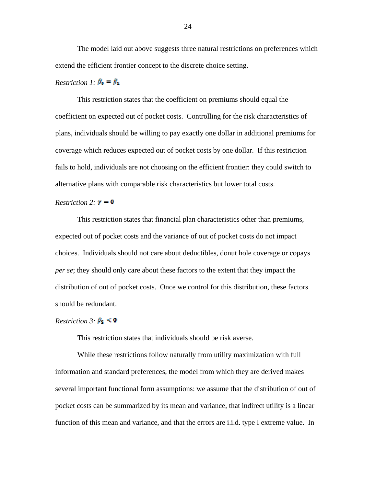The model laid out above suggests three natural restrictions on preferences which extend the efficient frontier concept to the discrete choice setting.

## *Restriction 1:*  $\beta_0 = \beta_1$

 This restriction states that the coefficient on premiums should equal the coefficient on expected out of pocket costs. Controlling for the risk characteristics of plans, individuals should be willing to pay exactly one dollar in additional premiums for coverage which reduces expected out of pocket costs by one dollar. If this restriction fails to hold, individuals are not choosing on the efficient frontier: they could switch to alternative plans with comparable risk characteristics but lower total costs.

## *Restriction 2:*  $\mathbf{y} = \mathbf{0}$

 This restriction states that financial plan characteristics other than premiums, expected out of pocket costs and the variance of out of pocket costs do not impact choices. Individuals should not care about deductibles, donut hole coverage or copays *per se*; they should only care about these factors to the extent that they impact the distribution of out of pocket costs. Once we control for this distribution, these factors should be redundant.

## *Restriction 3:*  $\beta_2 \leq 0$

This restriction states that individuals should be risk averse.

 While these restrictions follow naturally from utility maximization with full information and standard preferences, the model from which they are derived makes several important functional form assumptions: we assume that the distribution of out of pocket costs can be summarized by its mean and variance, that indirect utility is a linear function of this mean and variance, and that the errors are i.i.d. type I extreme value. In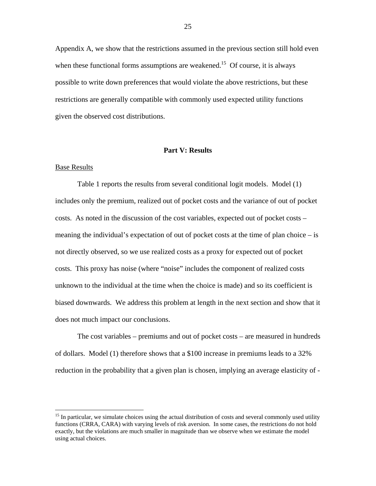Appendix A, we show that the restrictions assumed in the previous section still hold even when these functional forms assumptions are weakened.<sup>15</sup> Of course, it is always possible to write down preferences that would violate the above restrictions, but these restrictions are generally compatible with commonly used expected utility functions given the observed cost distributions.

## **Part V: Results**

## Base Results

 $\overline{a}$ 

Table 1 reports the results from several conditional logit models. Model (1) includes only the premium, realized out of pocket costs and the variance of out of pocket costs. As noted in the discussion of the cost variables, expected out of pocket costs – meaning the individual's expectation of out of pocket costs at the time of plan choice – is not directly observed, so we use realized costs as a proxy for expected out of pocket costs. This proxy has noise (where "noise" includes the component of realized costs unknown to the individual at the time when the choice is made) and so its coefficient is biased downwards. We address this problem at length in the next section and show that it does not much impact our conclusions.

The cost variables – premiums and out of pocket costs – are measured in hundreds of dollars. Model (1) therefore shows that a \$100 increase in premiums leads to a 32% reduction in the probability that a given plan is chosen, implying an average elasticity of -

<sup>&</sup>lt;sup>15</sup> In particular, we simulate choices using the actual distribution of costs and several commonly used utility functions (CRRA, CARA) with varying levels of risk aversion. In some cases, the restrictions do not hold exactly, but the violations are much smaller in magnitude than we observe when we estimate the model using actual choices.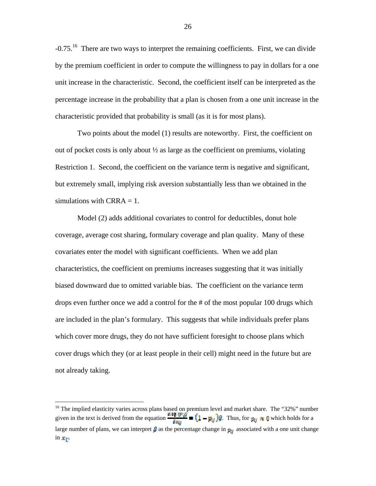-0.75.16 There are two ways to interpret the remaining coefficients. First, we can divide by the premium coefficient in order to compute the willingness to pay in dollars for a one unit increase in the characteristic. Second, the coefficient itself can be interpreted as the percentage increase in the probability that a plan is chosen from a one unit increase in the characteristic provided that probability is small (as it is for most plans).

Two points about the model (1) results are noteworthy. First, the coefficient on out of pocket costs is only about  $\frac{1}{2}$  as large as the coefficient on premiums, violating Restriction 1. Second, the coefficient on the variance term is negative and significant, but extremely small, implying risk aversion substantially less than we obtained in the simulations with CRRA  $= 1$ .

Model (2) adds additional covariates to control for deductibles, donut hole coverage, average cost sharing, formulary coverage and plan quality. Many of these covariates enter the model with significant coefficients. When we add plan characteristics, the coefficient on premiums increases suggesting that it was initially biased downward due to omitted variable bias. The coefficient on the variance term drops even further once we add a control for the # of the most popular 100 drugs which are included in the plan's formulary. This suggests that while individuals prefer plans which cover more drugs, they do not have sufficient foresight to choose plans which cover drugs which they (or at least people in their cell) might need in the future but are not already taking.

 $\overline{a}$ 

<sup>&</sup>lt;sup>16</sup> The implied elasticity varies across plans based on premium level and market share. The "32%" number given in the text is derived from the equation  $\frac{d\mathbf{v}_s}{d\mathbf{x}_M}$  =  $(1 - \mathbf{v}_M)$   $\theta$ . Thus, for  $\mathbf{v}_M \approx 0$  which holds for a large number of plans, we can interpret  $\beta$  as the percentage change in  $p_{ij}$  associated with a one unit change in  $\mathbf{x}_{ii}$ .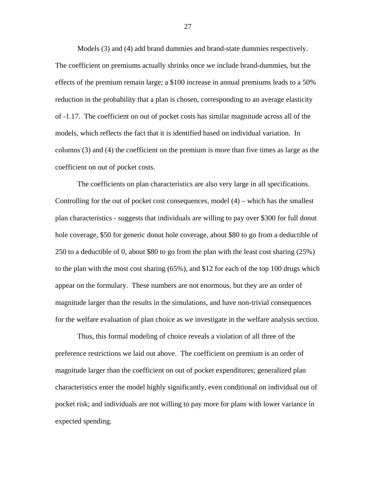Models (3) and (4) add brand dummies and brand-state dummies respectively. The coefficient on premiums actually shrinks once we include brand-dummies, but the effects of the premium remain large; a \$100 increase in annual premiums leads to a 50% reduction in the probability that a plan is chosen, corresponding to an average elasticity of -1.17. The coefficient on out of pocket costs has similar magnitude across all of the models, which reflects the fact that it is identified based on individual variation. In columns (3) and (4) the coefficient on the premium is more than five times as large as the coefficient on out of pocket costs.

 The coefficients on plan characteristics are also very large in all specifications. Controlling for the out of pocket cost consequences, model  $(4)$  – which has the smallest plan characteristics - suggests that individuals are willing to pay over \$300 for full donut hole coverage, \$50 for generic donut hole coverage, about \$80 to go from a deductible of 250 to a deductible of 0, about \$80 to go from the plan with the least cost sharing (25%) to the plan with the most cost sharing (65%), and \$12 for each of the top 100 drugs which appear on the formulary. These numbers are not enormous, but they are an order of magnitude larger than the results in the simulations, and have non-trivial consequences for the welfare evaluation of plan choice as we investigate in the welfare analysis section.

 Thus, this formal modeling of choice reveals a violation of all three of the preference restrictions we laid out above. The coefficient on premium is an order of magnitude larger than the coefficient on out of pocket expenditures; generalized plan characteristics enter the model highly significantly, even conditional on individual out of pocket risk; and individuals are not willing to pay more for plans with lower variance in expected spending.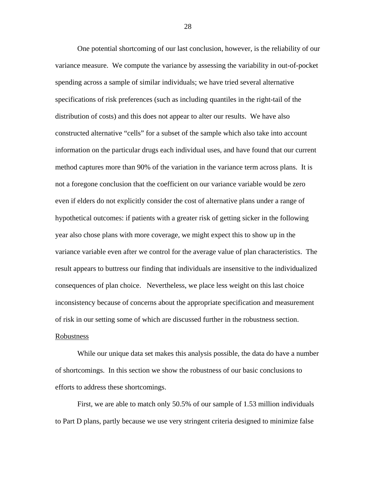One potential shortcoming of our last conclusion, however, is the reliability of our variance measure. We compute the variance by assessing the variability in out-of-pocket spending across a sample of similar individuals; we have tried several alternative specifications of risk preferences (such as including quantiles in the right-tail of the distribution of costs) and this does not appear to alter our results. We have also constructed alternative "cells" for a subset of the sample which also take into account information on the particular drugs each individual uses, and have found that our current method captures more than 90% of the variation in the variance term across plans. It is not a foregone conclusion that the coefficient on our variance variable would be zero even if elders do not explicitly consider the cost of alternative plans under a range of hypothetical outcomes: if patients with a greater risk of getting sicker in the following year also chose plans with more coverage, we might expect this to show up in the variance variable even after we control for the average value of plan characteristics. The result appears to buttress our finding that individuals are insensitive to the individualized consequences of plan choice. Nevertheless, we place less weight on this last choice inconsistency because of concerns about the appropriate specification and measurement of risk in our setting some of which are discussed further in the robustness section.

## Robustness

 While our unique data set makes this analysis possible, the data do have a number of shortcomings. In this section we show the robustness of our basic conclusions to efforts to address these shortcomings.

 First, we are able to match only 50.5% of our sample of 1.53 million individuals to Part D plans, partly because we use very stringent criteria designed to minimize false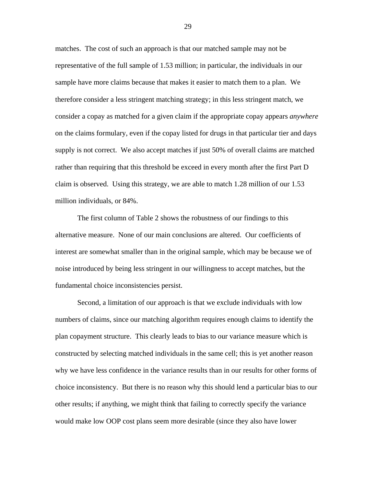matches. The cost of such an approach is that our matched sample may not be representative of the full sample of 1.53 million; in particular, the individuals in our sample have more claims because that makes it easier to match them to a plan. We therefore consider a less stringent matching strategy; in this less stringent match, we consider a copay as matched for a given claim if the appropriate copay appears *anywhere* on the claims formulary, even if the copay listed for drugs in that particular tier and days supply is not correct. We also accept matches if just 50% of overall claims are matched rather than requiring that this threshold be exceed in every month after the first Part D claim is observed. Using this strategy, we are able to match 1.28 million of our 1.53 million individuals, or 84%.

 The first column of Table 2 shows the robustness of our findings to this alternative measure. None of our main conclusions are altered. Our coefficients of interest are somewhat smaller than in the original sample, which may be because we of noise introduced by being less stringent in our willingness to accept matches, but the fundamental choice inconsistencies persist.

 Second, a limitation of our approach is that we exclude individuals with low numbers of claims, since our matching algorithm requires enough claims to identify the plan copayment structure. This clearly leads to bias to our variance measure which is constructed by selecting matched individuals in the same cell; this is yet another reason why we have less confidence in the variance results than in our results for other forms of choice inconsistency. But there is no reason why this should lend a particular bias to our other results; if anything, we might think that failing to correctly specify the variance would make low OOP cost plans seem more desirable (since they also have lower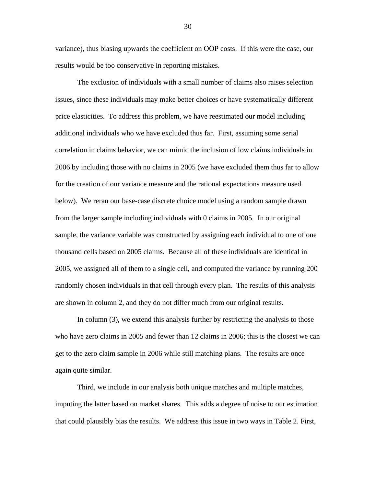variance), thus biasing upwards the coefficient on OOP costs. If this were the case, our results would be too conservative in reporting mistakes.

 The exclusion of individuals with a small number of claims also raises selection issues, since these individuals may make better choices or have systematically different price elasticities. To address this problem, we have reestimated our model including additional individuals who we have excluded thus far. First, assuming some serial correlation in claims behavior, we can mimic the inclusion of low claims individuals in 2006 by including those with no claims in 2005 (we have excluded them thus far to allow for the creation of our variance measure and the rational expectations measure used below). We reran our base-case discrete choice model using a random sample drawn from the larger sample including individuals with 0 claims in 2005. In our original sample, the variance variable was constructed by assigning each individual to one of one thousand cells based on 2005 claims. Because all of these individuals are identical in 2005, we assigned all of them to a single cell, and computed the variance by running 200 randomly chosen individuals in that cell through every plan. The results of this analysis are shown in column 2, and they do not differ much from our original results.

 In column (3), we extend this analysis further by restricting the analysis to those who have zero claims in 2005 and fewer than 12 claims in 2006; this is the closest we can get to the zero claim sample in 2006 while still matching plans. The results are once again quite similar.

 Third, we include in our analysis both unique matches and multiple matches, imputing the latter based on market shares. This adds a degree of noise to our estimation that could plausibly bias the results. We address this issue in two ways in Table 2. First,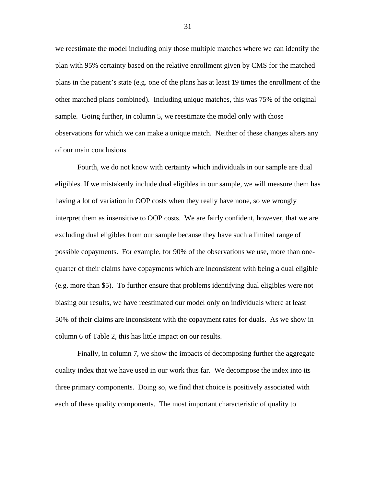we reestimate the model including only those multiple matches where we can identify the plan with 95% certainty based on the relative enrollment given by CMS for the matched plans in the patient's state (e.g. one of the plans has at least 19 times the enrollment of the other matched plans combined). Including unique matches, this was 75% of the original sample. Going further, in column 5, we reestimate the model only with those observations for which we can make a unique match. Neither of these changes alters any of our main conclusions

 Fourth, we do not know with certainty which individuals in our sample are dual eligibles. If we mistakenly include dual eligibles in our sample, we will measure them has having a lot of variation in OOP costs when they really have none, so we wrongly interpret them as insensitive to OOP costs. We are fairly confident, however, that we are excluding dual eligibles from our sample because they have such a limited range of possible copayments. For example, for 90% of the observations we use, more than onequarter of their claims have copayments which are inconsistent with being a dual eligible (e.g. more than \$5). To further ensure that problems identifying dual eligibles were not biasing our results, we have reestimated our model only on individuals where at least 50% of their claims are inconsistent with the copayment rates for duals. As we show in column 6 of Table 2, this has little impact on our results.

 Finally, in column 7, we show the impacts of decomposing further the aggregate quality index that we have used in our work thus far. We decompose the index into its three primary components. Doing so, we find that choice is positively associated with each of these quality components. The most important characteristic of quality to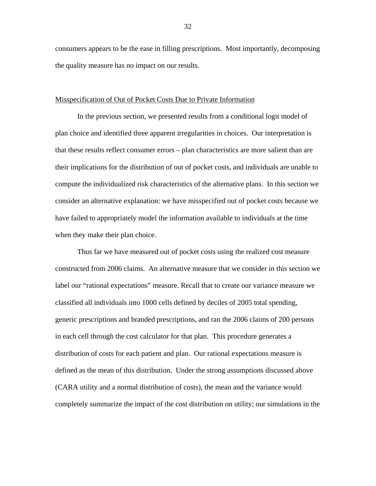consumers appears to be the ease in filling prescriptions. Most importantly, decomposing the quality measure has no impact on our results.

### Misspecification of Out of Pocket Costs Due to Private Information

 In the previous section, we presented results from a conditional logit model of plan choice and identified three apparent irregularities in choices. Our interpretation is that these results reflect consumer errors – plan characteristics are more salient than are their implications for the distribution of out of pocket costs, and individuals are unable to compute the individualized risk characteristics of the alternative plans. In this section we consider an alternative explanation: we have misspecified out of pocket costs because we have failed to appropriately model the information available to individuals at the time when they make their plan choice.

Thus far we have measured out of pocket costs using the realized cost measure constructed from 2006 claims. An alternative measure that we consider in this section we label our "rational expectations" measure. Recall that to create our variance measure we classified all individuals into 1000 cells defined by deciles of 2005 total spending, generic prescriptions and branded prescriptions, and ran the 2006 claims of 200 persons in each cell through the cost calculator for that plan. This procedure generates a distribution of costs for each patient and plan. Our rational expectations measure is defined as the mean of this distribution. Under the strong assumptions discussed above (CARA utility and a normal distribution of costs), the mean and the variance would completely summarize the impact of the cost distribution on utility; our simulations in the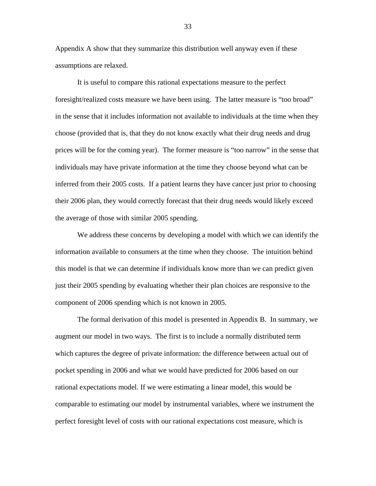Appendix A show that they summarize this distribution well anyway even if these assumptions are relaxed.

It is useful to compare this rational expectations measure to the perfect foresight/realized costs measure we have been using. The latter measure is "too broad" in the sense that it includes information not available to individuals at the time when they choose (provided that is, that they do not know exactly what their drug needs and drug prices will be for the coming year). The former measure is "too narrow" in the sense that individuals may have private information at the time they choose beyond what can be inferred from their 2005 costs. If a patient learns they have cancer just prior to choosing their 2006 plan, they would correctly forecast that their drug needs would likely exceed the average of those with similar 2005 spending.

We address these concerns by developing a model with which we can identify the information available to consumers at the time when they choose. The intuition behind this model is that we can determine if individuals know more than we can predict given just their 2005 spending by evaluating whether their plan choices are responsive to the component of 2006 spending which is not known in 2005.

The formal derivation of this model is presented in Appendix B. In summary, we augment our model in two ways. The first is to include a normally distributed term which captures the degree of private information: the difference between actual out of pocket spending in 2006 and what we would have predicted for 2006 based on our rational expectations model. If we were estimating a linear model, this would be comparable to estimating our model by instrumental variables, where we instrument the perfect foresight level of costs with our rational expectations cost measure, which is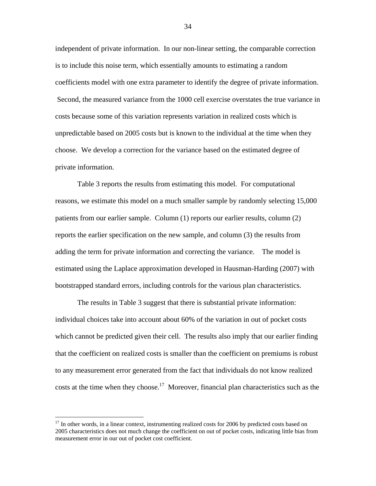independent of private information. In our non-linear setting, the comparable correction is to include this noise term, which essentially amounts to estimating a random coefficients model with one extra parameter to identify the degree of private information. Second, the measured variance from the 1000 cell exercise overstates the true variance in costs because some of this variation represents variation in realized costs which is unpredictable based on 2005 costs but is known to the individual at the time when they choose. We develop a correction for the variance based on the estimated degree of private information.

 Table 3 reports the results from estimating this model. For computational reasons, we estimate this model on a much smaller sample by randomly selecting 15,000 patients from our earlier sample. Column (1) reports our earlier results, column (2) reports the earlier specification on the new sample, and column (3) the results from adding the term for private information and correcting the variance. The model is estimated using the Laplace approximation developed in Hausman-Harding (2007) with bootstrapped standard errors, including controls for the various plan characteristics.

 The results in Table 3 suggest that there is substantial private information: individual choices take into account about 60% of the variation in out of pocket costs which cannot be predicted given their cell. The results also imply that our earlier finding that the coefficient on realized costs is smaller than the coefficient on premiums is robust to any measurement error generated from the fact that individuals do not know realized costs at the time when they choose.<sup>17</sup> Moreover, financial plan characteristics such as the

 $\overline{a}$ 

<sup>&</sup>lt;sup>17</sup> In other words, in a linear context, instrumenting realized costs for 2006 by predicted costs based on 2005 characteristics does not much change the coefficient on out of pocket costs, indicating little bias from measurement error in our out of pocket cost coefficient.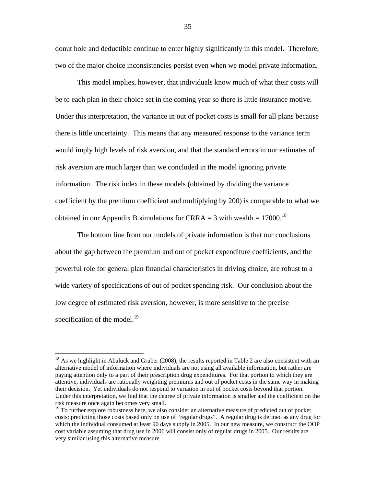donut hole and deductible continue to enter highly significantly in this model. Therefore, two of the major choice inconsistencies persist even when we model private information.

 This model implies, however, that individuals know much of what their costs will be to each plan in their choice set in the coming year so there is little insurance motive. Under this interpretation, the variance in out of pocket costs is small for all plans because there is little uncertainty. This means that any measured response to the variance term would imply high levels of risk aversion, and that the standard errors in our estimates of risk aversion are much larger than we concluded in the model ignoring private information. The risk index in these models (obtained by dividing the variance coefficient by the premium coefficient and multiplying by 200) is comparable to what we obtained in our Appendix B simulations for CRRA = 3 with wealth =  $17000$ .<sup>18</sup>

The bottom line from our models of private information is that our conclusions about the gap between the premium and out of pocket expenditure coefficients, and the powerful role for general plan financial characteristics in driving choice, are robust to a wide variety of specifications of out of pocket spending risk. Our conclusion about the low degree of estimated risk aversion, however, is more sensitive to the precise specification of the model. $19$ 

 $\overline{a}$ 

<sup>&</sup>lt;sup>18</sup> As we highlight in Abaluck and Gruber (2008), the results reported in Table 2 are also consistent with an alternative model of information where individuals are not using all available information, but rather are paying attention only to a part of their prescription drug expenditures. For that portion to which they are attentive, individuals are rationally weighting premiums and out of pocket costs in the same way in making their decision. Yet individuals do not respond to variation in out of pocket costs beyond that portion. Under this interpretation, we find that the degree of private information is smaller and the coefficient on the risk measure once again becomes very small.<br><sup>19</sup> To further explore robustness here, we also consider an alternative measure of predicted out of pocket

costs: predicting those costs based only on use of "regular drugs". A regular drug is defined as any drug for which the individual consumed at least 90 days supply in 2005. In our new measure, we construct the OOP cost variable assuming that drug use in 2006 will consist only of regular drugs in 2005. Our results are very similar using this alternative measure.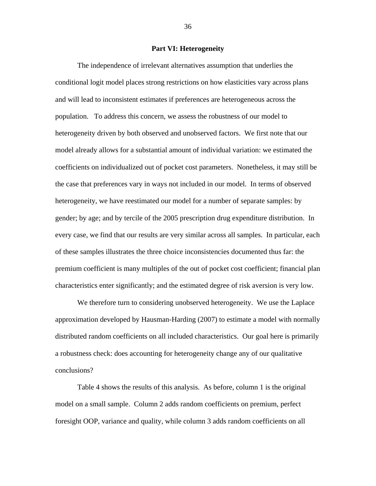## **Part VI: Heterogeneity**

 The independence of irrelevant alternatives assumption that underlies the conditional logit model places strong restrictions on how elasticities vary across plans and will lead to inconsistent estimates if preferences are heterogeneous across the population. To address this concern, we assess the robustness of our model to heterogeneity driven by both observed and unobserved factors. We first note that our model already allows for a substantial amount of individual variation: we estimated the coefficients on individualized out of pocket cost parameters. Nonetheless, it may still be the case that preferences vary in ways not included in our model. In terms of observed heterogeneity, we have reestimated our model for a number of separate samples: by gender; by age; and by tercile of the 2005 prescription drug expenditure distribution. In every case, we find that our results are very similar across all samples. In particular, each of these samples illustrates the three choice inconsistencies documented thus far: the premium coefficient is many multiples of the out of pocket cost coefficient; financial plan characteristics enter significantly; and the estimated degree of risk aversion is very low.

 We therefore turn to considering unobserved heterogeneity. We use the Laplace approximation developed by Hausman-Harding (2007) to estimate a model with normally distributed random coefficients on all included characteristics. Our goal here is primarily a robustness check: does accounting for heterogeneity change any of our qualitative conclusions?

 Table 4 shows the results of this analysis. As before, column 1 is the original model on a small sample. Column 2 adds random coefficients on premium, perfect foresight OOP, variance and quality, while column 3 adds random coefficients on all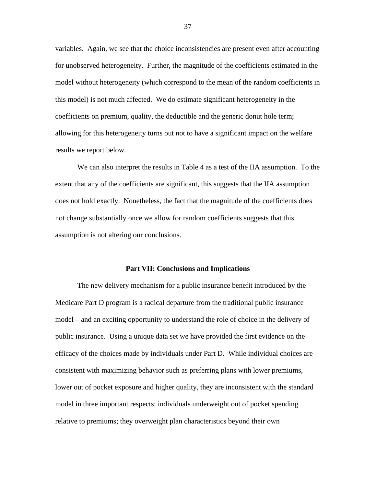variables. Again, we see that the choice inconsistencies are present even after accounting for unobserved heterogeneity. Further, the magnitude of the coefficients estimated in the model without heterogeneity (which correspond to the mean of the random coefficients in this model) is not much affected. We do estimate significant heterogeneity in the coefficients on premium, quality, the deductible and the generic donut hole term; allowing for this heterogeneity turns out not to have a significant impact on the welfare results we report below.

 We can also interpret the results in Table 4 as a test of the IIA assumption. To the extent that any of the coefficients are significant, this suggests that the IIA assumption does not hold exactly. Nonetheless, the fact that the magnitude of the coefficients does not change substantially once we allow for random coefficients suggests that this assumption is not altering our conclusions.

#### **Part VII: Conclusions and Implications**

The new delivery mechanism for a public insurance benefit introduced by the Medicare Part D program is a radical departure from the traditional public insurance model – and an exciting opportunity to understand the role of choice in the delivery of public insurance. Using a unique data set we have provided the first evidence on the efficacy of the choices made by individuals under Part D. While individual choices are consistent with maximizing behavior such as preferring plans with lower premiums, lower out of pocket exposure and higher quality, they are inconsistent with the standard model in three important respects: individuals underweight out of pocket spending relative to premiums; they overweight plan characteristics beyond their own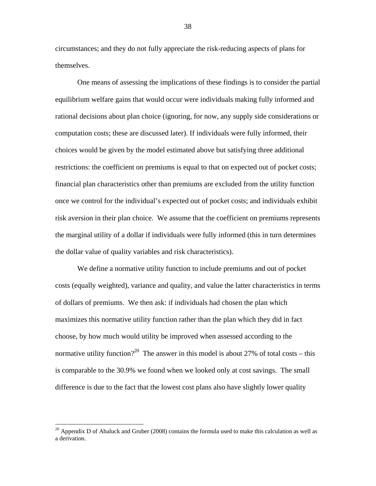circumstances; and they do not fully appreciate the risk-reducing aspects of plans for themselves.

 One means of assessing the implications of these findings is to consider the partial equilibrium welfare gains that would occur were individuals making fully informed and rational decisions about plan choice (ignoring, for now, any supply side considerations or computation costs; these are discussed later). If individuals were fully informed, their choices would be given by the model estimated above but satisfying three additional restrictions: the coefficient on premiums is equal to that on expected out of pocket costs; financial plan characteristics other than premiums are excluded from the utility function once we control for the individual's expected out of pocket costs; and individuals exhibit risk aversion in their plan choice. We assume that the coefficient on premiums represents the marginal utility of a dollar if individuals were fully informed (this in turn determines the dollar value of quality variables and risk characteristics).

We define a normative utility function to include premiums and out of pocket costs (equally weighted), variance and quality, and value the latter characteristics in terms of dollars of premiums. We then ask: if individuals had chosen the plan which maximizes this normative utility function rather than the plan which they did in fact choose, by how much would utility be improved when assessed according to the normative utility function?<sup>20</sup> The answer in this model is about 27% of total costs – this is comparable to the 30.9% we found when we looked only at cost savings. The small difference is due to the fact that the lowest cost plans also have slightly lower quality

 $\overline{a}$ 

 $20$  Appendix D of Abaluck and Gruber (2008) contains the formula used to make this calculation as well as a derivation.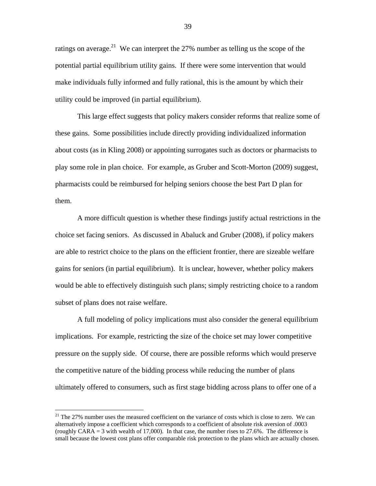ratings on average.<sup>21</sup> We can interpret the 27% number as telling us the scope of the potential partial equilibrium utility gains. If there were some intervention that would make individuals fully informed and fully rational, this is the amount by which their utility could be improved (in partial equilibrium).

This large effect suggests that policy makers consider reforms that realize some of these gains. Some possibilities include directly providing individualized information about costs (as in Kling 2008) or appointing surrogates such as doctors or pharmacists to play some role in plan choice. For example, as Gruber and Scott-Morton (2009) suggest, pharmacists could be reimbursed for helping seniors choose the best Part D plan for them.

A more difficult question is whether these findings justify actual restrictions in the choice set facing seniors. As discussed in Abaluck and Gruber (2008), if policy makers are able to restrict choice to the plans on the efficient frontier, there are sizeable welfare gains for seniors (in partial equilibrium). It is unclear, however, whether policy makers would be able to effectively distinguish such plans; simply restricting choice to a random subset of plans does not raise welfare.

A full modeling of policy implications must also consider the general equilibrium implications. For example, restricting the size of the choice set may lower competitive pressure on the supply side. Of course, there are possible reforms which would preserve the competitive nature of the bidding process while reducing the number of plans ultimately offered to consumers, such as first stage bidding across plans to offer one of a

 $\overline{a}$ 

 $21$  The 27% number uses the measured coefficient on the variance of costs which is close to zero. We can alternatively impose a coefficient which corresponds to a coefficient of absolute risk aversion of .0003 (roughly CARA = 3 with wealth of 17,000). In that case, the number rises to 27.6%. The difference is small because the lowest cost plans offer comparable risk protection to the plans which are actually chosen.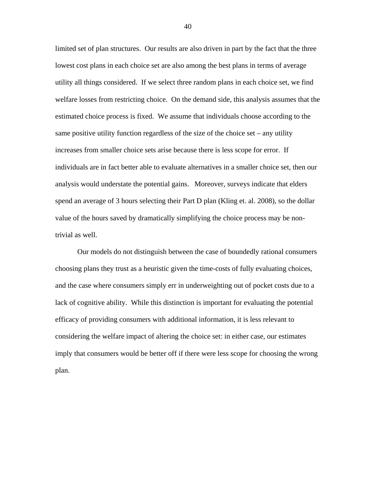limited set of plan structures. Our results are also driven in part by the fact that the three lowest cost plans in each choice set are also among the best plans in terms of average utility all things considered. If we select three random plans in each choice set, we find welfare losses from restricting choice. On the demand side, this analysis assumes that the estimated choice process is fixed. We assume that individuals choose according to the same positive utility function regardless of the size of the choice set – any utility increases from smaller choice sets arise because there is less scope for error. If individuals are in fact better able to evaluate alternatives in a smaller choice set, then our analysis would understate the potential gains. Moreover, surveys indicate that elders spend an average of 3 hours selecting their Part D plan (Kling et. al. 2008), so the dollar value of the hours saved by dramatically simplifying the choice process may be nontrivial as well.

Our models do not distinguish between the case of boundedly rational consumers choosing plans they trust as a heuristic given the time-costs of fully evaluating choices, and the case where consumers simply err in underweighting out of pocket costs due to a lack of cognitive ability. While this distinction is important for evaluating the potential efficacy of providing consumers with additional information, it is less relevant to considering the welfare impact of altering the choice set: in either case, our estimates imply that consumers would be better off if there were less scope for choosing the wrong plan.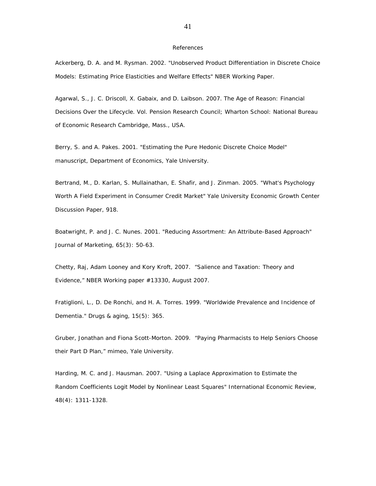#### References

Ackerberg, D. A. and M. Rysman. 2002. "Unobserved Product Differentiation in Discrete Choice Models: Estimating Price Elasticities and Welfare Effects" *NBER Working Paper*.

Agarwal, S., J. C. Driscoll, X. Gabaix, and D. Laibson. 2007. *The Age of Reason: Financial Decisions Over the Lifecycle*. Vol. Pension Research Council; Wharton School: National Bureau of Economic Research Cambridge, Mass., USA.

Berry, S. and A. Pakes. 2001. "Estimating the Pure Hedonic Discrete Choice Model" *manuscript, Department of Economics, Yale University*.

Bertrand, M., D. Karlan, S. Mullainathan, E. Shafir, and J. Zinman. 2005. "What's Psychology Worth A Field Experiment in Consumer Credit Market" *Yale University Economic Growth Center Discussion Paper*, 918.

Boatwright, P. and J. C. Nunes. 2001. "Reducing Assortment: An Attribute-Based Approach" *Journal of Marketing*, 65(3): 50-63.

Chetty, Raj, Adam Looney and Kory Kroft, 2007. "Salience and Taxation: Theory and Evidence," NBER Working paper #13330, August 2007.

Fratiglioni, L., D. De Ronchi, and H. A. Torres. 1999. "Worldwide Prevalence and Incidence of Dementia." *Drugs & aging*, 15(5): 365.

Gruber, Jonathan and Fiona Scott-Morton. 2009. "Paying Pharmacists to Help Seniors Choose their Part D Plan," mimeo, Yale University.

Harding, M. C. and J. Hausman. 2007. "Using a Laplace Approximation to Estimate the Random Coefficients Logit Model by Nonlinear Least Squares" *International Economic Review*, 48(4): 1311-1328.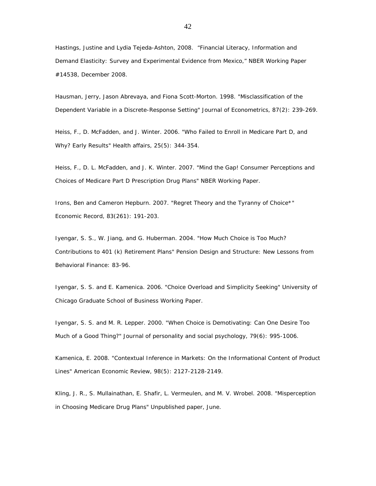Hastings, Justine and Lydia Tejeda-Ashton, 2008. "Financial Literacy, Information and Demand Elasticity: Survey and Experimental Evidence from Mexico," NBER Working Paper #14538, December 2008.

Hausman, Jerry, Jason Abrevaya, and Fiona Scott-Morton. 1998. "Misclassification of the Dependent Variable in a Discrete-Response Setting" *Journal of Econometrics*, 87(2): 239-269.

Heiss, F., D. McFadden, and J. Winter. 2006. "Who Failed to Enroll in Medicare Part D, and Why? Early Results" *Health affairs*, 25(5): 344-354.

Heiss, F., D. L. McFadden, and J. K. Winter. 2007. "Mind the Gap! Consumer Perceptions and Choices of Medicare Part D Prescription Drug Plans" *NBER Working Paper*.

Irons, Ben and Cameron Hepburn. 2007. "Regret Theory and the Tyranny of Choice\*" *Economic Record*, 83(261): 191-203.

Iyengar, S. S., W. Jiang, and G. Huberman. 2004. "How Much Choice is Too Much? Contributions to 401 (k) Retirement Plans" *Pension Design and Structure: New Lessons from Behavioral Finance*: 83-96.

Iyengar, S. S. and E. Kamenica. 2006. "Choice Overload and Simplicity Seeking" *University of Chicago Graduate School of Business Working Paper.*

Iyengar, S. S. and M. R. Lepper. 2000. "When Choice is Demotivating: Can One Desire Too Much of a Good Thing?" *Journal of personality and social psychology*, 79(6): 995-1006.

Kamenica, E. 2008. "Contextual Inference in Markets: On the Informational Content of Product Lines" *American Economic Review*, 98(5): 2127-2128-2149.

Kling, J. R., S. Mullainathan, E. Shafir, L. Vermeulen, and M. V. Wrobel. 2008. "Misperception in Choosing Medicare Drug Plans" *Unpublished paper, June*.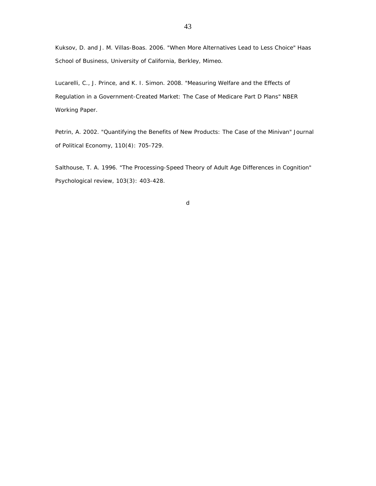Kuksov, D. and J. M. Villas-Boas. 2006. "When More Alternatives Lead to Less Choice" *Haas School of Business, University of California, Berkley, Mimeo*.

Lucarelli, C., J. Prince, and K. I. Simon. 2008. "Measuring Welfare and the Effects of Regulation in a Government-Created Market: The Case of Medicare Part D Plans" *NBER Working Paper*.

Petrin, A. 2002. "Quantifying the Benefits of New Products: The Case of the Minivan" *Journal of Political Economy*, 110(4): 705-729.

Salthouse, T. A. 1996. "The Processing-Speed Theory of Adult Age Differences in Cognition" *Psychological review*, 103(3): 403-428.

d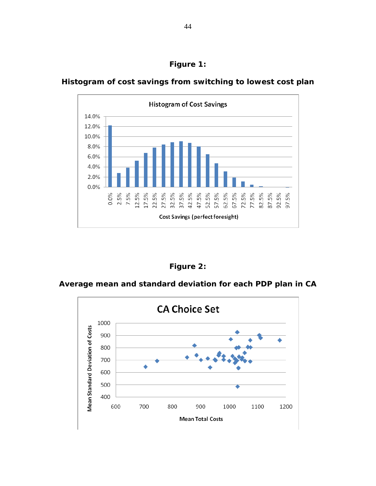



**Histogram of cost savings from switching to lowest cost plan** 



**Average mean and standard deviation for each PDP plan in CA** 

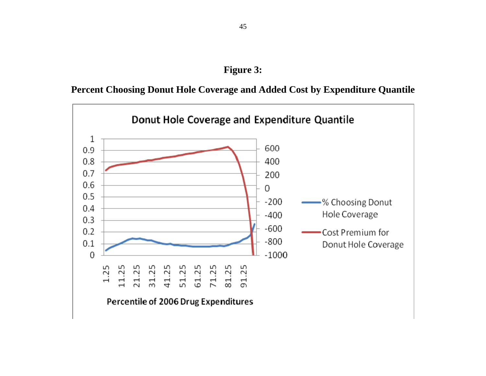## **Figure 3:**

**Percent Choosing Donut Hole Coverage and Added Cost by Expenditure Quantile**

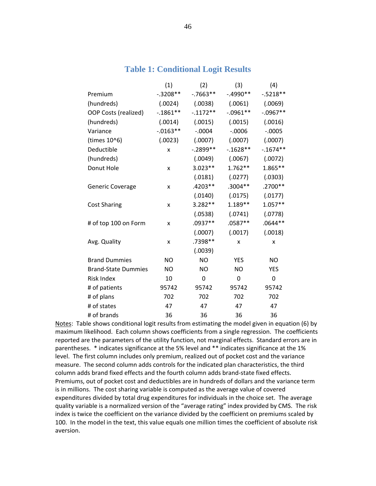## **Table 1: Conditional Logit Results**

|                            | (1)         | (2)         | (3)         | (4)         |
|----------------------------|-------------|-------------|-------------|-------------|
| Premium                    | $-.3208**$  | $-0.7663**$ | $-.4990**$  | $-.5218**$  |
| (hundreds)                 | (.0024)     | (.0038)     | (.0061)     | (.0069)     |
| OOP Costs (realized)       | $-0.1861**$ | $-.1172**$  | $-.0961**$  | $-.0967**$  |
| (hundreds)                 | (.0014)     | (.0015)     | (.0015)     | (.0016)     |
| Variance                   | $-0.0163**$ | $-.0004$    | $-0.0006$   | $-.0005$    |
| (times 10^6)               | (.0023)     | (.0007)     | (.0007)     | (.0007)     |
| Deductible                 | X           | $-.2899**$  | $-0.1628**$ | $-0.1674**$ |
| (hundreds)                 |             | (.0049)     | (.0067)     | (.0072)     |
| Donut Hole                 | x           | $3.023**$   | $1.762**$   | $1.865**$   |
|                            |             | (.0181)     | (.0277)     | (.0303)     |
| <b>Generic Coverage</b>    | x           | $.4203**$   | $.3004**$   | .2700**     |
|                            |             | (.0140)     | (.0175)     | (.0177)     |
| <b>Cost Sharing</b>        | x           | 3.282**     | $1.189**$   | $1.057**$   |
|                            |             | (.0538)     | (.0741)     | (.0778)     |
| # of top 100 on Form       | x           | $.0937**$   | $.0587**$   | $.0644**$   |
|                            |             | (.0007)     | (.0017)     | (.0018)     |
| Avg. Quality               | x           | .7398**     | X           | X           |
|                            |             | (.0039)     |             |             |
| <b>Brand Dummies</b>       | <b>NO</b>   | <b>NO</b>   | <b>YES</b>  | <b>NO</b>   |
| <b>Brand-State Dummies</b> | NO.         | <b>NO</b>   | <b>NO</b>   | <b>YES</b>  |
| <b>Risk Index</b>          | 10          | 0           | 0           | 0           |
| # of patients              | 95742       | 95742       | 95742       | 95742       |
| # of plans                 | 702         | 702         | 702         | 702         |
| # of states                | 47          | 47          | 47          | 47          |
| # of brands                | 36          | 36          | 36          | 36          |

Notes: Table shows conditional logit results from estimating the model given in equation (6) by maximum likelihood. Each column shows coefficients from a single regression. The coefficients reported are the parameters of the utility function, not marginal effects. Standard errors are in parentheses. \* indicates significance at the 5% level and \*\* indicates significance at the 1% level. The first column includes only premium, realized out of pocket cost and the variance measure. The second column adds controls for the indicated plan characteristics, the third column adds brand fixed effects and the fourth column adds brand‐state fixed effects. Premiums, out of pocket cost and deductibles are in hundreds of dollars and the variance term is in millions. The cost sharing variable is computed as the average value of covered expenditures divided by total drug expenditures for individuals in the choice set. The average quality variable is a normalized version of the "average rating" index provided by CMS. The risk index is twice the coefficient on the variance divided by the coefficient on premiums scaled by 100. In the model in the text, this value equals one million times the coefficient of absolute risk aversion.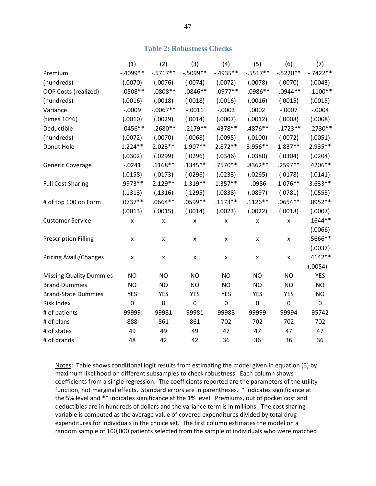## **Table 2: Robustness Checks**

|                                | (1)                | (2)         | (3)                | (4)         | (5)                | (6)                | (7)         |
|--------------------------------|--------------------|-------------|--------------------|-------------|--------------------|--------------------|-------------|
| Premium                        | $-0.4099**$        | $-.5717**$  | $-0.5099**$        | $-.4935**$  | $-.5517**$         | $-.5220**$         | $-.7422**$  |
| (hundreds)                     | (.0070)            | (.0076)     | (.0074)            | (.0072)     | (.0078)            | (.0070)            | (.0043)     |
| OOP Costs (realized)           | $-.0508**$         | $-0808**$   | $-0.0846**$        | $-.0977**$  | $-.0986**$         | $-.0944**$         | $-.1100**$  |
| (hundreds)                     | (.0016)            | (.0018)     | (.0018)            | (.0016)     | (.0016)            | (.0015)            | (.0015)     |
| Variance                       | $-.0009$           | $-.0067**$  | $-.0011$           | $-.0003$    | .0002              | $-.0007$           | $-.0004$    |
| (times 10^6)                   | (.0010)            | (.0029)     | (.0014)            | (.0007)     | (.0012)            | (.0008)            | (.0008)     |
| Deductible                     | $-0.0456**$        | $-.2680**$  | $-.2179**$         | .4378**     | .4876**            | $-.1723**$         | $-.2730**$  |
| (hundreds)                     | (.0072)            | (.0070)     | (.0068)            | (.0095)     | (.0100)            | (.0072)            | (.0051)     |
| Donut Hole                     | $1.224**$          | $2.023**$   | 1.907**            | $2.872**$   | 3.956**            | $1.837**$          | 2.935**     |
|                                | (.0302)            | (.0299)     | (.0296)            | (.0346)     | (.0380)            | (.0304)            | (.0204)     |
| <b>Generic Coverage</b>        | $-0.0241$          | $.1168**$   | $.1345**$          | .7570**     | .8362**            | .2597**            | .4206**     |
|                                | (.0158)            | (.0173)     | (.0296)            | (.0233)     | (.0265)            | (.0178)            | (.0141)     |
| <b>Full Cost Sharing</b>       | .9973 **           | $2.129**$   | $1.319**$          | $1.357**$   | $-0.0986$          | $1.076**$          | 3.633**     |
|                                | (.1313)            | (.1316)     | (.1295)            | (.0838)     | (.0897)            | (.0781)            | (.0555)     |
| # of top 100 on Form           | $.0737**$          | $.0664**$   | .0599**            | $.1173**$   | $.1126**$          | $.0654**$          | $.0952**$   |
|                                | (.0013)            | (.0015)     | (.0014)            | (.0023)     | (.0022)            | (.0018)            | (.0007)     |
| <b>Customer Service</b>        | $\pmb{\mathsf{X}}$ | X           | $\pmb{\mathsf{X}}$ | X           | $\pmb{\mathsf{X}}$ | $\pmb{\mathsf{X}}$ | $.1644**$   |
|                                |                    |             |                    |             |                    |                    | (.0066)     |
| <b>Prescription Filling</b>    | X                  | X           | X                  | X           | $\pmb{\mathsf{x}}$ | $\pmb{\mathsf{X}}$ | .5666**     |
|                                |                    |             |                    |             |                    |                    | (.0037)     |
| Pricing Avail./Changes         | $\pmb{\mathsf{X}}$ | X           | $\pmb{\mathsf{X}}$ | X           | $\pmb{\mathsf{X}}$ | $\pmb{\mathsf{x}}$ | $.4142**$   |
|                                |                    |             |                    |             |                    |                    | (.0054)     |
| <b>Missing Quality Dummies</b> | <b>NO</b>          | <b>NO</b>   | <b>NO</b>          | <b>NO</b>   | <b>NO</b>          | <b>NO</b>          | <b>YES</b>  |
| <b>Brand Dummies</b>           | <b>NO</b>          | <b>NO</b>   | <b>NO</b>          | <b>NO</b>   | <b>NO</b>          | <b>NO</b>          | <b>NO</b>   |
| <b>Brand-State Dummies</b>     | <b>YES</b>         | <b>YES</b>  | <b>YES</b>         | <b>YES</b>  | <b>YES</b>         | <b>YES</b>         | <b>NO</b>   |
| Risk Index                     | $\boldsymbol{0}$   | $\mathbf 0$ | $\mathbf 0$        | $\mathbf 0$ | $\boldsymbol{0}$   | $\mathbf 0$        | $\mathbf 0$ |
| # of patients                  | 99999              | 99981       | 99981              | 99988       | 99999              | 99994              | 95742       |
| # of plans                     | 888                | 861         | 861                | 702         | 702                | 702                | 702         |
| # of states                    | 49                 | 49          | 49                 | 47          | 47                 | 47                 | 47          |
| # of brands                    | 48                 | 42          | 42                 | 36          | 36                 | 36                 | 36          |

Notes: Table shows conditional logit results from estimating the model given in equation (6) by maximum likelihood on different subsamples to check robustness. Each column shows coefficients from a single regression. The coefficients reported are the parameters of the utility function, not marginal effects. Standard errors are in parentheses. \* indicates significance at the 5% level and \*\* indicates significance at the 1% level. Premiums, out of pocket cost and deductibles are in hundreds of dollars and the variance term is in millions. The cost sharing variable is computed as the average value of covered expenditures divided by total drug expenditures for individuals in the choice set. The first column estimates the model on a random sample of 100,000 patients selected from the sample of individuals who were matched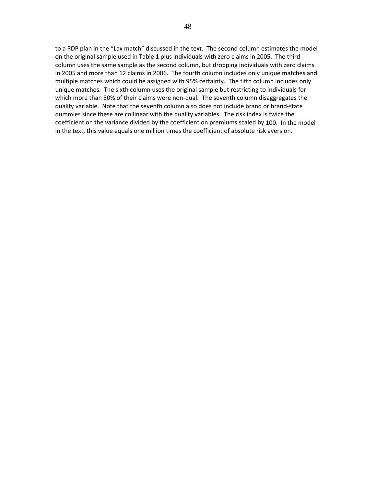to a PDP plan in the "Lax match" discussed in the text. The second column estimates the model on the original sample used in Table 1 plus individuals with zero claims in 2005. The third column uses the same sample as the second column, but dropping individuals with zero claims in 2005 and more than 12 claims in 2006. The fourth column includes only unique matches and multiple matches which could be assigned with 95% certainty. The fifth column includes only unique matches. The sixth column uses the original sample but restricting to individuals for which more than 50% of their claims were non-dual. The seventh column disaggregates the quality variable. Note that the seventh column also does not include brand or brand‐state dummies since these are collinear with the quality variables. The risk index is twice the coefficient on the variance divided by the coefficient on premiums scaled by 100. In the model in the text, this value equals one million times the coefficient of absolute risk aversion.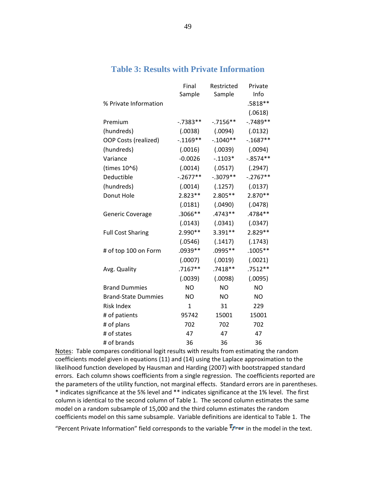|                            | Final<br>Sample | Restricted<br>Sample | Private<br>Info |
|----------------------------|-----------------|----------------------|-----------------|
| % Private Information      |                 |                      | .5818**         |
|                            |                 |                      | (.0618)         |
| Premium                    | $-0.7383**$     | $-0.7156**$          | $-0.7489**$     |
| (hundreds)                 | (.0038)         | (.0094)              | (.0132)         |
| OOP Costs (realized)       | $-0.1169**$     | $-.1040**$           | $-0.1687**$     |
| (hundreds)                 | (.0016)         | (.0039)              | (.0094)         |
| Variance                   | $-0.0026$       | $-.1103*$            | $-0.8574**$     |
| (times 10^6)               | (.0014)         | (.0517)              | (.2947)         |
| Deductible                 | $-.2677**$      | $-.3079**$           | $-.2767**$      |
| (hundreds)                 | (.0014)         | (.1257)              | (.0137)         |
| Donut Hole                 | 2.823 **        | 2.805**              | 2.870 **        |
|                            | (.0181)         | (.0490)              | (.0478)         |
| Generic Coverage           | .3066**         | .4743 **             | .4784**         |
|                            | (.0143)         | (.0341)              | (.0347)         |
| <b>Full Cost Sharing</b>   | 2.990 **        | 3.391**              | 2.829 **        |
|                            | (.0546)         | (.1417)              | (.1743)         |
| # of top 100 on Form       | .0939 **        | .0995 **             | $.1005**$       |
|                            | (.0007)         | (.0019)              | (.0021)         |
| Avg. Quality               | .7167**         | .7418 **             | .7512 **        |
|                            | (.0039)         | (.0098)              | (.0095)         |
| <b>Brand Dummies</b>       | <b>NO</b>       | <b>NO</b>            | <b>NO</b>       |
| <b>Brand-State Dummies</b> | NO.             | ΝO                   | <b>NO</b>       |
| <b>Risk Index</b>          | $\mathbf{1}$    | 31                   | 229             |
| # of patients              | 95742           | 15001                | 15001           |
| # of plans                 | 702             | 702                  | 702             |
| # of states                | 47              | 47                   | 47              |
| # of brands                | 36              | 36                   | 36              |

## **Table 3: Results with Private Information**

Notes: Table compares conditional logit results with results from estimating the random coefficients model given in equations (11) and (14) using the Laplace approximation to the likelihood function developed by Hausman and Harding (2007) with bootstrapped standard errors. Each column shows coefficients from a single regression. The coefficients reported are the parameters of the utility function, not marginal effects. Standard errors are in parentheses. \* indicates significance at the 5% level and \*\* indicates significance at the 1% level. The first column is identical to the second column of Table 1. The second column estimates the same model on a random subsample of 15,000 and the third column estimates the random coefficients model on this same subsample. Variable definitions are identical to Table 1. The

"Percent Private Information" field corresponds to the variable  $\frac{T_{free}}{T_{free}}$  in the model in the text.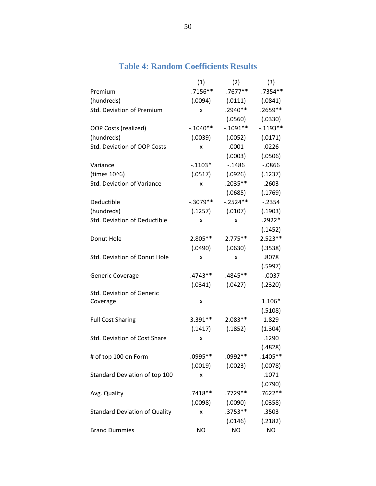|                                      | (1)        | (2)                 | (3)         |
|--------------------------------------|------------|---------------------|-------------|
| Premium                              | $-.7156**$ | $-.7677**$          | $-0.7354**$ |
| (hundreds)                           | (.0094)    | (.0111)             | (.0841)     |
| Std. Deviation of Premium            | x          | .2940**             | .2659 **    |
|                                      |            | (.0560)             | (.0330)     |
| OOP Costs (realized)                 | $-.1040**$ | $-.1091**$          | $-0.1193**$ |
| (hundreds)                           | (.0039)    | (.0052)             | (.0171)     |
| Std. Deviation of OOP Costs          | x          | .0001               | .0226       |
|                                      |            | (.0003)             | (.0506)     |
| Variance                             | $-.1103*$  | $-0.1486$           | $-0.0866$   |
| (times 10^6)                         | (.0517)    | (.0926)             | (.1237)     |
| Std. Deviation of Variance           | x          | .2035**             | .2603       |
|                                      |            | (.0685)             | (.1769)     |
| Deductible                           | $-.3079**$ | $-.2524**$          | $-0.2354$   |
| (hundreds)                           | (.1257)    | (.0107)             | (.1903)     |
| Std. Deviation of Deductible         | x          | x                   | .2922*      |
|                                      |            |                     | (.1452)     |
| Donut Hole                           | $2.805**$  | $2.775**$           | $2.523**$   |
|                                      | (.0490)    | (.0630)             | (.3538)     |
| Std. Deviation of Donut Hole         | x          | x                   | .8078       |
|                                      |            |                     | (.5997)     |
| Generic Coverage                     | .4743**    | .4845**             | $-.0037$    |
|                                      | (.0341)    | (.0427)             | (.2320)     |
| <b>Std. Deviation of Generic</b>     |            |                     |             |
| Coverage                             | x          |                     | 1.106*      |
|                                      |            |                     | (.5108)     |
| <b>Full Cost Sharing</b>             | 3.391**    | $2.083**$           | 1.829       |
|                                      | (.1417)    | (.1852)             | (1.304)     |
| Std. Deviation of Cost Share         | x          |                     | .1290       |
|                                      |            |                     | (.4828)     |
| # of top 100 on Form                 | .0995**    | .0992**             | $.1405**$   |
|                                      |            | $(.0019)$ $(.0023)$ | (.0078)     |
| Standard Deviation of top 100        | x          |                     | .1071       |
|                                      |            |                     | (.0790)     |
| Avg. Quality                         | $.7418**$  | .7729 **            | $.7622**$   |
|                                      | (.0098)    | (.0090)             | (.0358)     |
| <b>Standard Deviation of Quality</b> | x          | $.3753**$           | .3503       |
|                                      |            | (.0146)             | (.2182)     |
| <b>Brand Dummies</b>                 | <b>NO</b>  | <b>NO</b>           | <b>NO</b>   |

## **Table 4: Random Coefficients Results**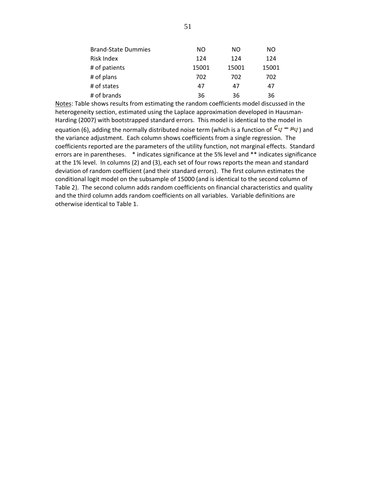| <b>Brand-State Dummies</b> | NO    | NO.   | NO.   |
|----------------------------|-------|-------|-------|
| Risk Index                 | 124   | 124   | 124   |
| # of patients              | 15001 | 15001 | 15001 |
| # of plans                 | 702   | 702   | 702   |
| # of states                | 47    | 47    | 47    |
| # of brands                | 36    | 36    | 36    |

Notes: Table shows results from estimating the random coefficients model discussed in the heterogeneity section, estimated using the Laplace approximation developed in Hausman‐ Harding (2007) with bootstrapped standard errors. This model is identical to the model in equation (6), adding the normally distributed noise term (which is a function of  $C_{ij} - \mu_{ij}$ ) and the variance adjustment. Each column shows coefficients from a single regression. The coefficients reported are the parameters of the utility function, not marginal effects. Standard errors are in parentheses. \* indicates significance at the 5% level and \*\* indicates significance at the 1% level. In columns (2) and (3), each set of four rows reports the mean and standard deviation of random coefficient (and their standard errors). The first column estimates the conditional logit model on the subsample of 15000 (and is identical to the second column of Table 2). The second column adds random coefficients on financial characteristics and quality and the third column adds random coefficients on all variables. Variable definitions are otherwise identical to Table 1.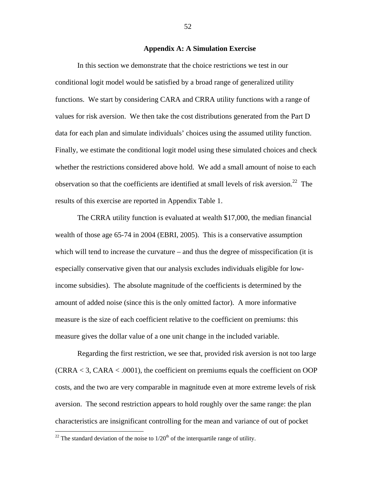## **Appendix A: A Simulation Exercise**

 In this section we demonstrate that the choice restrictions we test in our conditional logit model would be satisfied by a broad range of generalized utility functions. We start by considering CARA and CRRA utility functions with a range of values for risk aversion. We then take the cost distributions generated from the Part D data for each plan and simulate individuals' choices using the assumed utility function. Finally, we estimate the conditional logit model using these simulated choices and check whether the restrictions considered above hold. We add a small amount of noise to each observation so that the coefficients are identified at small levels of risk aversion.<sup>22</sup> The results of this exercise are reported in Appendix Table 1.

The CRRA utility function is evaluated at wealth \$17,000, the median financial wealth of those age 65-74 in 2004 (EBRI, 2005). This is a conservative assumption which will tend to increase the curvature – and thus the degree of misspecification (it is especially conservative given that our analysis excludes individuals eligible for lowincome subsidies). The absolute magnitude of the coefficients is determined by the amount of added noise (since this is the only omitted factor). A more informative measure is the size of each coefficient relative to the coefficient on premiums: this measure gives the dollar value of a one unit change in the included variable.

Regarding the first restriction, we see that, provided risk aversion is not too large  $(CRRA < 3, CARA < .0001)$ , the coefficient on premiums equals the coefficient on OOP costs, and the two are very comparable in magnitude even at more extreme levels of risk aversion. The second restriction appears to hold roughly over the same range: the plan characteristics are insignificant controlling for the mean and variance of out of pocket

<u>.</u>

<sup>&</sup>lt;sup>22</sup> The standard deviation of the noise to  $1/20<sup>th</sup>$  of the interquartile range of utility.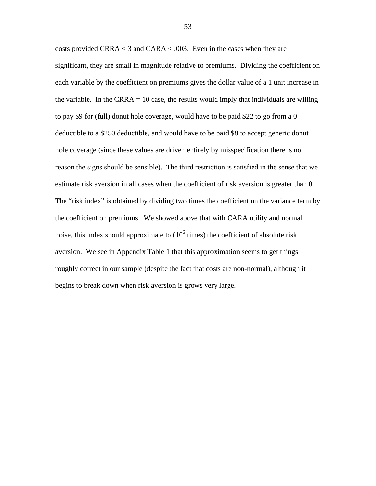costs provided CRRA < 3 and CARA < .003. Even in the cases when they are significant, they are small in magnitude relative to premiums. Dividing the coefficient on each variable by the coefficient on premiums gives the dollar value of a 1 unit increase in the variable. In the CRRA  $= 10$  case, the results would imply that individuals are willing to pay \$9 for (full) donut hole coverage, would have to be paid \$22 to go from a 0 deductible to a \$250 deductible, and would have to be paid \$8 to accept generic donut hole coverage (since these values are driven entirely by misspecification there is no reason the signs should be sensible). The third restriction is satisfied in the sense that we estimate risk aversion in all cases when the coefficient of risk aversion is greater than 0. The "risk index" is obtained by dividing two times the coefficient on the variance term by the coefficient on premiums. We showed above that with CARA utility and normal noise, this index should approximate to  $(10^6$  times) the coefficient of absolute risk aversion. We see in Appendix Table 1 that this approximation seems to get things roughly correct in our sample (despite the fact that costs are non-normal), although it begins to break down when risk aversion is grows very large.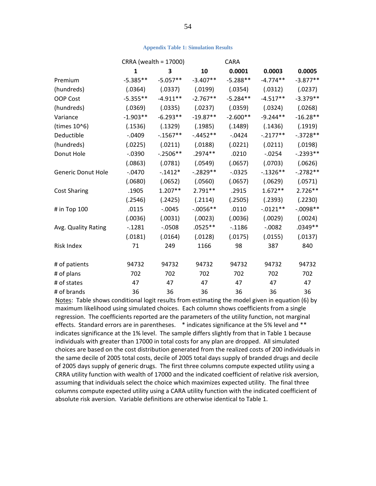#### **Appendix Table 1: Simulation Results**

|                           |              | CRRA (wealth = 17000) | <b>CARA</b> |            |            |            |
|---------------------------|--------------|-----------------------|-------------|------------|------------|------------|
|                           | $\mathbf{1}$ | 3                     | 10          | 0.0001     | 0.0003     | 0.0005     |
| Premium                   | $-5.385**$   | $-5.057**$            | $-3.407**$  | $-5.288**$ | $-4.774**$ | $-3.877**$ |
| (hundreds)                | (.0364)      | (.0337)               | (.0199)     | (.0354)    | (.0312)    | (.0237)    |
| OOP Cost                  | $-5.355**$   | $-4.911**$            | $-2.767**$  | $-5.284**$ | $-4.517**$ | $-3.379**$ |
| (hundreds)                | (.0369)      | (.0335)               | (.0237)     | (.0359)    | (.0324)    | (.0268)    |
| Variance                  | $-1.903**$   | $-6.293**$            | $-19.87**$  | $-2.600**$ | $-9.244**$ | $-16.28**$ |
| (times 10^6)              | (.1536)      | (.1329)               | (.1985)     | (.1489)    | (.1436)    | (.1919)    |
| Deductible                | $-0.0409$    | $-0.1567**$           | $-.4452**$  | $-0424$    | $-.2177**$ | $-.3728**$ |
| (hundreds)                | (.0225)      | (.0211)               | (.0188)     | (.0221)    | (.0211)    | (.0198)    |
| Donut Hole                | $-0.0390$    | $-.2506**$            | .2974 **    | .0210      | $-0.0254$  | $-.2393**$ |
|                           | (.0863)      | (.0781)               | (.0549)     | (.0657)    | (.0703)    | (.0626)    |
| <b>Generic Donut Hole</b> | $-.0470$     | $-.1412*$             | $-.2829**$  | $-0.0325$  | $-.1326**$ | $-.2782**$ |
|                           | (.0680)      | (.0652)               | (.0560)     | (.0657)    | (.0629)    | (.0571)    |
| <b>Cost Sharing</b>       | .1905        | $1.207**$             | 2.791 **    | .2915      | $1.672**$  | $2.726**$  |
|                           | (.2546)      | (.2425)               | (.2114)     | (.2505)    | (.2393)    | (.2230)    |
| # in Top 100              | .0115        | $-.0045$              | $-0.0056**$ | .0110      | $-.0121**$ | $-.0098**$ |
|                           | (.0036)      | (.0031)               | (.0023)     | (.0036)    | (.0029)    | (.0024)    |
| Avg. Quality Rating       | $-1281$      | $-.0508$              | $.0525**$   | $-1186$    | $-.0082$   | .0349 **   |
|                           | (.0181)      | (.0164)               | (.0128)     | (.0175)    | (.0155)    | (.0137)    |
| <b>Risk Index</b>         | 71           | 249                   | 1166        | 98         | 387        | 840        |
| # of patients             | 94732        | 94732                 | 94732       | 94732      | 94732      | 94732      |
| # of plans                | 702          | 702                   | 702         | 702        | 702        | 702        |
| # of states               | 47           | 47                    | 47          | 47         | 47         | 47         |
| # of brands               | 36           | 36                    | 36          | 36         | 36         | 36         |

Notes: Table shows conditional logit results from estimating the model given in equation (6) by maximum likelihood using simulated choices. Each column shows coefficients from a single regression. The coefficients reported are the parameters of the utility function, not marginal effects. Standard errors are in parentheses. \* indicates significance at the 5% level and \*\* indicates significance at the 1% level. The sample differs slightly from that in Table 1 because individuals with greater than 17000 in total costs for any plan are dropped. All simulated choices are based on the cost distribution generated from the realized costs of 200 individuals in the same decile of 2005 total costs, decile of 2005 total days supply of branded drugs and decile of 2005 days supply of generic drugs. The first three columns compute expected utility using a CRRA utility function with wealth of 17000 and the indicated coefficient of relative risk aversion, assuming that individuals select the choice which maximizes expected utility. The final three columns compute expected utility using a CARA utility function with the indicated coefficient of absolute risk aversion. Variable definitions are otherwise identical to Table 1.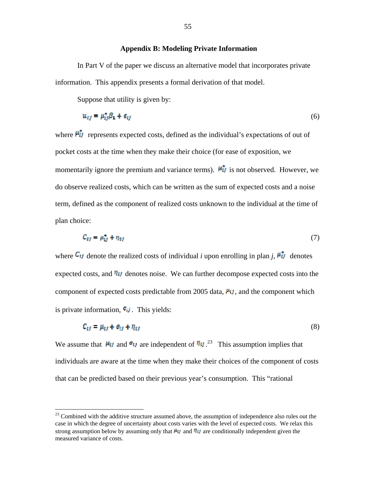## **Appendix B: Modeling Private Information**

In Part V of the paper we discuss an alternative model that incorporates private information. This appendix presents a formal derivation of that model.

Suppose that utility is given by:

 $\overline{a}$ 

$$
u_{ij} = \mu_{ij}^* \beta_1 + \epsilon_{ij} \tag{6}
$$

where  $\mathbf{F}_{ij}$  represents expected costs, defined as the individual's expectations of out of pocket costs at the time when they make their choice (for ease of exposition, we momentarily ignore the premium and variance terms).  $\mathbf{M}_{\text{I}}$  is not observed. However, we do observe realized costs, which can be written as the sum of expected costs and a noise term, defined as the component of realized costs unknown to the individual at the time of plan choice:

$$
C_{ef} = \mu_{tf}^* + \eta_{tf} \tag{7}
$$

where  $\mathcal{C}_{ij}$  denote the realized costs of individual *i* upon enrolling in plan *j*,  $\mathcal{F}_{ij}$  denotes expected costs, and  $\eta_{ij}$  denotes noise. We can further decompose expected costs into the component of expected costs predictable from 2005 data,  $\mu_{ij}$ , and the component which is private information,  $\epsilon_{ij}$ . This yields:

$$
C_{ij} = \mu_{ij} + \sigma_{ij} + \eta_{ij} \tag{8}
$$

We assume that  $M_{ij}$  and  $e_{ij}$  are independent of  $\eta_{ij}$ <sup>23</sup>. This assumption implies that individuals are aware at the time when they make their choices of the component of costs that can be predicted based on their previous year's consumption. This "rational

 $^{23}$  Combined with the additive structure assumed above, the assumption of independence also rules out the case in which the degree of uncertainty about costs varies with the level of expected costs. We relax this strong assumption below by assuming only that  $M_{\ell}$  and  $M_{\ell}$  are conditionally independent given the measured variance of costs.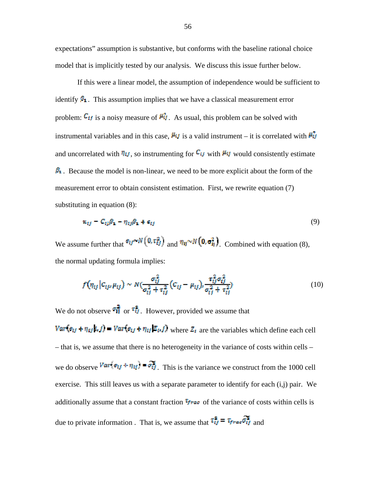expectations" assumption is substantive, but conforms with the baseline rational choice model that is implicitly tested by our analysis. We discuss this issue further below.

 If this were a linear model, the assumption of independence would be sufficient to identify  $\mathfrak{S}_1$ . This assumption implies that we have a classical measurement error problem:  $\mathcal{C}_{ij}$  is a noisy measure of  $\mathcal{W}_{ij}$ . As usual, this problem can be solved with instrumental variables and in this case,  $\mu_{ij}$  is a valid instrument – it is correlated with  $\mu_{ij}$ and uncorrelated with  $\eta_{ij}$ , so instrumenting for  $C_{ij}$  with  $\mu_{ij}$  would consistently estimate  $\beta_1$ . Because the model is non-linear, we need to be more explicit about the form of the measurement error to obtain consistent estimation. First, we rewrite equation (7) substituting in equation (8):

$$
u_{ij} - C_{ij}\beta_1 - \eta_{ij}\beta_1 + \epsilon_{ij} \tag{9}
$$

We assume further that  $\sigma_{ij} \sim N(0, \tau_{ij}^2)$  and  $\eta_{ij} \sim N(0, \sigma_{ij}^2)$ . Combined with equation (8), the normal updating formula implies:

$$
f(\eta_{ij}|c_{ij}, \mu_{ij}) \sim N(\frac{\sigma_{ij}^2}{\sigma_{ij}^2 + \tau_{ij}^2} (c_{ij} - \mu_{ij})_i \frac{\tau_{ij}^2 \sigma_{ij}^2}{\sigma_{ij}^2 + \tau_{ij}^2})
$$
(10)

We do not observe  $\overrightarrow{r_{tf}}$  or  $\overrightarrow{r_{tf}}$ . However, provided we assume that  $Var(e_{ij} + \eta_{ij}k, f) = Var(e_{ij} + \eta_{ij}k\mu f)$  where  $Z_i$  are the variables which define each cell – that is, we assume that there is no heterogeneity in the variance of costs within cells – we do observe  $\frac{Var\{\sigma_{tf} + \eta_{tf}\} - \sigma_{tf}^2}{Var\{\sigma_{tf}\}}$ . This is the variance we construct from the 1000 cell exercise. This still leaves us with a separate parameter to identify for each (i,j) pair. We additionally assume that a constant fraction  $\tau_{\text{frac}}$  of the variance of costs within cells is due to private information . That is, we assume that  $\tau_{ij}^2 = \tau_{frac} \sigma_{ij}^2$  and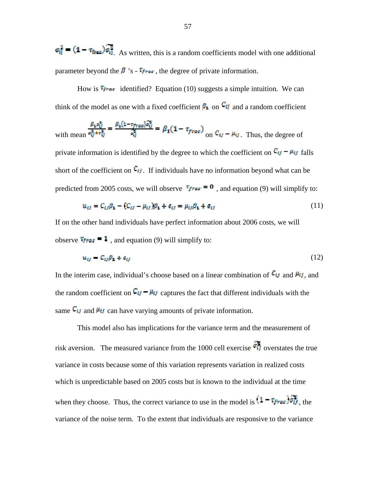$\sigma_{ij}^2$  =  $(1 - \tau_{\text{theo}})\sigma_{ij}^2$ . As written, this is a random coefficients model with one additional parameter beyond the  $\beta$  's -  $\tau_{free}$ , the degree of private information.

How is  $\mathbf{F}_{\text{free}}$  identified? Equation (10) suggests a simple intuition. We can think of the model as one with a fixed coefficient  $\mathcal{S}_1$  on  $\mathcal{C}_1$  and a random coefficient

with mean 
$$
\frac{\beta_4 \sigma_{ij}^2}{\sigma_{ij}^2 + \sigma_{ij}^2} = \frac{\beta_4 (1 - \tau_{frac}) \sigma_{ij}^2}{\sigma_{ij}^2} = \beta_4 (1 - \tau_{frac})
$$
 on  $C_{\epsilon j} - \mu_{ij}$ . Thus, the degree of private information is identified by the degree to which the coefficient on  $C_{ij} - \mu_{ij}$  falls short of the coefficient on  $C_{ij}$ . If individuals have no information beyond what can be

predicted from 2005 costs, we will observe  $\tau_{\text{frac}} = \Omega$ , and equation (9) will simplify to:

$$
u_{ij} = C_{ij}\beta_1 - (C_{ij} - \mu_{ij})\beta_1 + \epsilon_{ij} = \mu_{ij}\beta_1 + \epsilon_{ij}
$$
\n(11)

If on the other hand individuals have perfect information about 2006 costs, we will observe  $\tau_{\text{frac}} = 1$ , and equation (9) will simplify to:

$$
u_{tt} = C_{tt} \beta_1 + c_{tt} \tag{12}
$$

In the interim case, individual's choose based on a linear combination of  $C_{ij}$  and  $M_{ij}$ , and the random coefficient on  $\mathbb{C}_U - \mu_U$  captures the fact that different individuals with the same  $c_{ij}$  and  $\mu_{ij}$  can have varying amounts of private information.

This model also has implications for the variance term and the measurement of risk aversion. The measured variance from the 1000 cell exercise  $\vec{v}$  overstates the true variance in costs because some of this variation represents variation in realized costs which is unpredictable based on 2005 costs but is known to the individual at the time when they choose. Thus, the correct variance to use in the model is  $(1 - r_{frac})\sigma_H^2$ , the variance of the noise term. To the extent that individuals are responsive to the variance